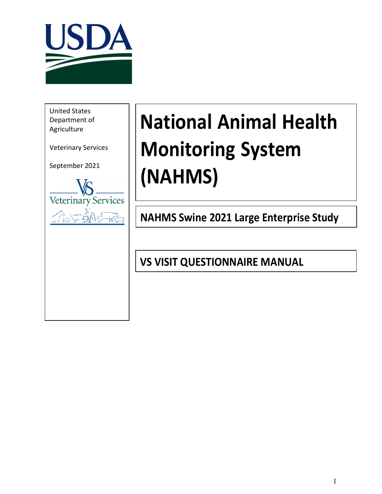

**Manual States**<br> **Department of** United States Agriculture

Veterinary Services

September 2021



# **National Animal Health Monitoring System (NAHMS)**

**NAHMS Swine 2021 Large Enterprise Study**

**VS VISIT QUESTIONNAIRE MANUAL**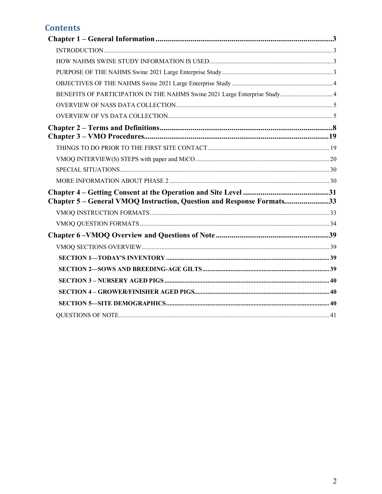# **Contents**

| BENEFITS OF PARTICIPATION IN THE NAHMS Swine 2021 Large Enterprise Study4 |  |
|---------------------------------------------------------------------------|--|
|                                                                           |  |
|                                                                           |  |
|                                                                           |  |
|                                                                           |  |
|                                                                           |  |
|                                                                           |  |
|                                                                           |  |
|                                                                           |  |
| Chapter 5 – General VMOQ Instruction, Question and Response Formats33     |  |
|                                                                           |  |
|                                                                           |  |
|                                                                           |  |
|                                                                           |  |
|                                                                           |  |
|                                                                           |  |
|                                                                           |  |
|                                                                           |  |
|                                                                           |  |
|                                                                           |  |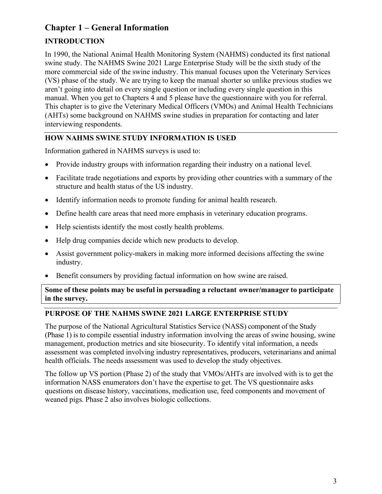# <span id="page-2-0"></span>**Chapter 1 – General Information**

# <span id="page-2-1"></span>**INTRODUCTION**

In 1990, the National Animal Health Monitoring System (NAHMS) conducted its first national swine study. The NAHMS Swine 2021 Large Enterprise Study will be the sixth study of the more commercial side of the swine industry. This manual focuses upon the Veterinary Services (VS) phase of the study. We are trying to keep the manual shorter so unlike previous studies we aren't going into detail on every single question or including every single question in this manual. When you get to Chapters 4 and 5 please have the questionnaire with you for referral. This chapter is to give the Veterinary Medical Officers (VMOs) and Animal Health Technicians (AHTs) some background on NAHMS swine studies in preparation for contacting and later interviewing respondents.

## <span id="page-2-2"></span>**HOW NAHMS SWINE STUDY INFORMATION IS USED**

Information gathered in NAHMS surveys is used to:

- Provide industry groups with information regarding their industry on a national level.
- Facilitate trade negotiations and exports by providing other countries with a summary of the structure and health status of the US industry.
- Identify information needs to promote funding for animal health research.
- Define health care areas that need more emphasis in veterinary education programs.
- Help scientists identify the most costly health problems.
- Help drug companies decide which new products to develop.
- Assist government policy-makers in making more informed decisions affecting the swine industry.
- Benefit consumers by providing factual information on how swine are raised.

#### **Some of these points may be useful in persuading a reluctant owner/manager to participate in the survey.**

## <span id="page-2-3"></span>**PURPOSE OF THE NAHMS SWINE 2021 LARGE ENTERPRISE STUDY**

The purpose of the National Agricultural Statistics Service (NASS) component of the Study (Phase 1) is to compile essential industry information involving the areas of swine housing, swine management, production metrics and site biosecurity. To identify vital information, a needs assessment was completed involving industry representatives, producers, veterinarians and animal health officials. The needs assessment was used to develop the study objectives.

The follow up VS portion (Phase 2) of the study that VMOs/AHTs are involved with is to get the information NASS enumerators don't have the expertise to get. The VS questionnaire asks questions on disease history, vaccinations, medication use, feed components and movement of weaned pigs. Phase 2 also involves biologic collections.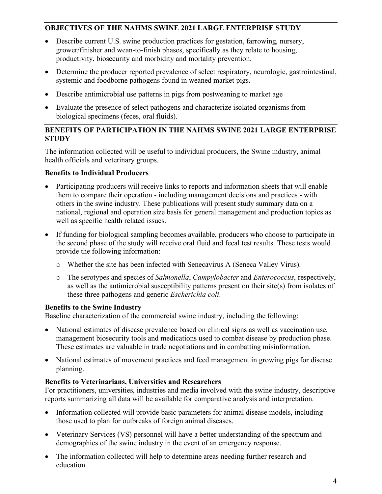## <span id="page-3-0"></span>**OBJECTIVES OF THE NAHMS SWINE 2021 LARGE ENTERPRISE STUDY**

- Describe current U.S. swine production practices for gestation, farrowing, nursery, grower/finisher and wean-to-finish phases, specifically as they relate to housing, productivity, biosecurity and morbidity and mortality prevention.
- Determine the producer reported prevalence of select respiratory, neurologic, gastrointestinal, systemic and foodborne pathogens found in weaned market pigs.
- Describe antimicrobial use patterns in pigs from postweaning to market age
- Evaluate the presence of select pathogens and characterize isolated organisms from biological specimens (feces, oral fluids).

#### <span id="page-3-1"></span>**BENEFITS OF PARTICIPATION IN THE NAHMS SWINE 2021 LARGE ENTERPRISE STUDY**

The information collected will be useful to individual producers, the Swine industry, animal health officials and veterinary groups.

## **Benefits to Individual Producers**

- Participating producers will receive links to reports and information sheets that will enable them to compare their operation - including management decisions and practices - with others in the swine industry. These publications will present study summary data on a national, regional and operation size basis for general management and production topics as well as specific health related issues.
- If funding for biological sampling becomes available, producers who choose to participate in the second phase of the study will receive oral fluid and fecal test results. These tests would provide the following information:
	- o Whether the site has been infected with Senecavirus A (Seneca Valley Virus).
	- o The serotypes and species of *Salmonella*, *Campylobacter* and *Enterococcus*, respectively, as well as the antimicrobial susceptibility patterns present on their site(s) from isolates of these three pathogens and generic *Escherichia coli*.

#### **Benefits to the Swine Industry**

Baseline characterization of the commercial swine industry, including the following:

- National estimates of disease prevalence based on clinical signs as well as vaccination use, management biosecurity tools and medications used to combat disease by production phase. These estimates are valuable in trade negotiations and in combatting misinformation.
- National estimates of movement practices and feed management in growing pigs for disease planning.

#### **Benefits to Veterinarians, Universities and Researchers**

For practitioners, universities, industries and media involved with the swine industry, descriptive reports summarizing all data will be available for comparative analysis and interpretation.

- Information collected will provide basic parameters for animal disease models, including those used to plan for outbreaks of foreign animal diseases.
- Veterinary Services (VS) personnel will have a better understanding of the spectrum and demographics of the swine industry in the event of an emergency response.
- The information collected will help to determine areas needing further research and education.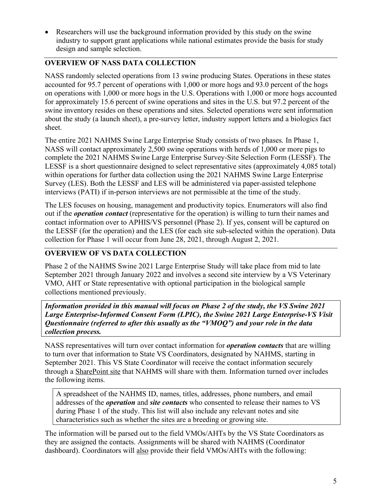• Researchers will use the background information provided by this study on the swine industry to support grant applications while national estimates provide the basis for study design and sample selection.

## <span id="page-4-0"></span>**OVERVIEW OF NASS DATA COLLECTION**

NASS randomly selected operations from 13 swine producing States. Operations in these states accounted for 95.7 percent of operations with 1,000 or more hogs and 93.0 percent of the hogs on operations with 1,000 or more hogs in the U.S. Operations with 1,000 or more hogs accounted for approximately 15.6 percent of swine operations and sites in the U.S. but 97.2 percent of the swine inventory resides on these operations and sites. Selected operations were sent information about the study (a launch sheet), a pre-survey letter, industry support letters and a biologics fact sheet.

The entire 2021 NAHMS Swine Large Enterprise Study consists of two phases. In Phase 1, NASS will contact approximately 2,500 swine operations with herds of 1,000 or more pigs to complete the 2021 NAHMS Swine Large Enterprise Survey-Site Selection Form (LESSF). The LESSF is a short questionnaire designed to select representative sites (approximately 4,085 total) within operations for further data collection using the 2021 NAHMS Swine Large Enterprise Survey (LES). Both the LESSF and LES will be administered via paper-assisted telephone interviews (PATI) if in-person interviews are not permissible at the time of the study.

The LES focuses on housing, management and productivity topics. Enumerators will also find out if the *operation contact* (representative for the operation) is willing to turn their names and contact information over to APHIS/VS personnel (Phase 2). If yes, consent will be captured on the LESSF (for the operation) and the LES (for each site sub-selected within the operation). Data collection for Phase 1 will occur from June 28, 2021, through August 2, 2021.

## <span id="page-4-1"></span>**OVERVIEW OF VS DATA COLLECTION**

Phase 2 of the NAHMS Swine 2021 Large Enterprise Study will take place from mid to late September 2021 through January 2022 and involves a second site interview by a VS Veterinary VMO, AHT or State representative with optional participation in the biological sample collections mentioned previously.

*Information provided in this manual will focus on Phase 2 of the study, the VS Swine 2021 Large Enterprise-Informed Consent Form (LPIC), the Swine 2021 Large Enterprise-VS Visit Questionnaire (referred to after this usually as the "VMOQ") and your role in the data collection process.*

NASS representatives will turn over contact information for *operation contacts* that are willing to turn over that information to State VS Coordinators, designated by NAHMS, starting in September 2021. This VS State Coordinator will receive the contact information securely through a SharePoint site that NAHMS will share with them. Information turned over includes the following items.

A spreadsheet of the NAHMS ID, names, titles, addresses, phone numbers, and email addresses of the *operation* and *site contacts* who consented to release their names to VS during Phase 1 of the study. This list will also include any relevant notes and site characteristics such as whether the sites are a breeding or growing site.

The information will be parsed out to the field VMOs/AHTs by the VS State Coordinators as they are assigned the contacts. Assignments will be shared with NAHMS (Coordinator dashboard). Coordinators will also provide their field VMOs/AHTs with the following: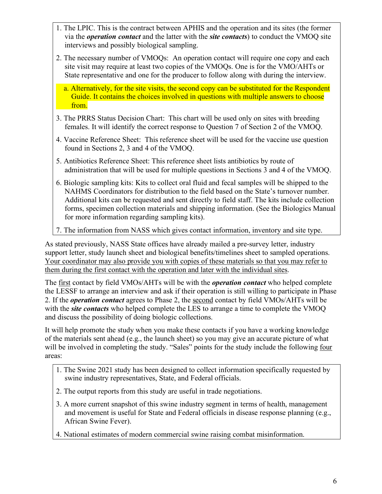- 1. The LPIC. This is the contract between APHIS and the operation and its sites (the former via the *operation contact* and the latter with the *site contacts*) to conduct the VMOQ site interviews and possibly biological sampling.
- 2. The necessary number of VMOQs: An operation contact will require one copy and each site visit may require at least two copies of the VMOQs. One is for the VMO/AHTs or State representative and one for the producer to follow along with during the interview.
	- a. Alternatively, for the site visits, the second copy can be substituted for the Respondent Guide. It contains the choices involved in questions with multiple answers to choose from.
- 3. The PRRS Status Decision Chart: This chart will be used only on sites with breeding females. It will identify the correct response to Question 7 of Section 2 of the VMOQ.
- 4. Vaccine Reference Sheet: This reference sheet will be used for the vaccine use question found in Sections 2, 3 and 4 of the VMOQ.
- 5. Antibiotics Reference Sheet: This reference sheet lists antibiotics by route of administration that will be used for multiple questions in Sections 3 and 4 of the VMOQ.
- 6. Biologic sampling kits: Kits to collect oral fluid and fecal samples will be shipped to the NAHMS Coordinators for distribution to the field based on the State's turnover number. Additional kits can be requested and sent directly to field staff. The kits include collection forms, specimen collection materials and shipping information. (See the Biologics Manual for more information regarding sampling kits).
- 7. The information from NASS which gives contact information, inventory and site type.

As stated previously, NASS State offices have already mailed a pre-survey letter, industry support letter, study launch sheet and biological benefits/timelines sheet to sampled operations. Your coordinator may also provide you with copies of these materials so that you may refer to them during the first contact with the operation and later with the individual sites.

The first contact by field VMOs/AHTs will be with the *operation contact* who helped complete the LESSF to arrange an interview and ask if their operation is still willing to participate in Phase 2. If the *operation contact* agrees to Phase 2, the second contact by field VMOs/AHTs will be with the *site contacts* who helped complete the LES to arrange a time to complete the VMOQ and discuss the possibility of doing biologic collections.

It will help promote the study when you make these contacts if you have a working knowledge of the materials sent ahead (e.g., the launch sheet) so you may give an accurate picture of what will be involved in completing the study. "Sales" points for the study include the following four areas:

- 1. The Swine 2021 study has been designed to collect information specifically requested by swine industry representatives, State, and Federal officials.
- 2. The output reports from this study are useful in trade negotiations.
- 3. A more current snapshot of this swine industry segment in terms of health, management and movement is useful for State and Federal officials in disease response planning (e.g., African Swine Fever).
- 4. National estimates of modern commercial swine raising combat misinformation.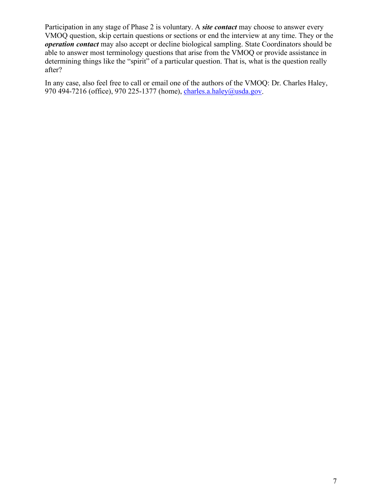Participation in any stage of Phase 2 is voluntary. A *site contact* may choose to answer every VMOQ question, skip certain questions or sections or end the interview at any time. They or the *operation contact* may also accept or decline biological sampling. State Coordinators should be able to answer most terminology questions that arise from the VMOQ or provide assistance in determining things like the "spirit" of a particular question. That is, what is the question really after?

In any case, also feel free to call or email one of the authors of the VMOQ: Dr. Charles Haley, 970 494-7216 (office), 970 225-1377 (home), [charles.a.haley@usda.gov.](mailto:charles.a.haley@usda.gov)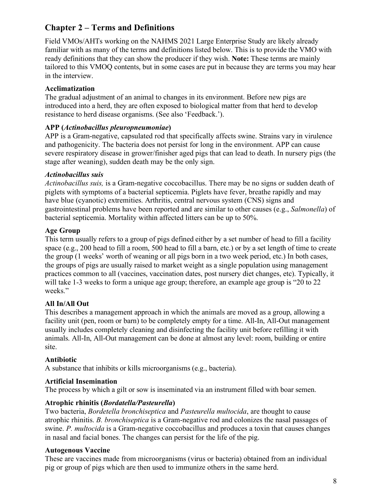# <span id="page-7-0"></span>**Chapter 2 – Terms and Definitions**

Field VMOs/AHTs working on the NAHMS 2021 Large Enterprise Study are likely already familiar with as many of the terms and definitions listed below. This is to provide the VMO with ready definitions that they can show the producer if they wish. **Note:** These terms are mainly tailored to this VMOQ contents, but in some cases are put in because they are terms you may hear in the interview.

## **Acclimatization**

The gradual adjustment of an animal to changes in its environment. Before new pigs are introduced into a herd, they are often exposed to biological matter from that herd to develop resistance to herd disease organisms. (See also 'Feedback.').

## **APP (***Actinobacillus pleuropneumoniae***)**

APP is a Gram-negative, capsulated rod that specifically affects swine. Strains vary in virulence and pathogenicity. The bacteria does not persist for long in the environment. APP can cause severe respiratory disease in grower/finisher aged pigs that can lead to death. In nursery pigs (the stage after weaning), sudden death may be the only sign.

## *Actinobacillus suis*

*Actinobacillus suis,* is a Gram-negative coccobacillus. There may be no signs or sudden death of piglets with symptoms of a bacterial septicemia. Piglets have fever, breathe rapidly and may have blue (cyanotic) extremities. Arthritis, central nervous system (CNS) signs and gastrointestinal problems have been reported and are similar to other causes (e.g., *Salmonella*) of bacterial septicemia. Mortality within affected litters can be up to 50%.

## **Age Group**

This term usually refers to a group of pigs defined either by a set number of head to fill a facility space (e.g., 200 head to fill a room, 500 head to fill a barn, etc.) or by a set length of time to create the group (1 weeks' worth of weaning or all pigs born in a two week period, etc.) In both cases, the groups of pigs are usually raised to market weight as a single population using management practices common to all (vaccines, vaccination dates, post nursery diet changes, etc). Typically, it will take 1-3 weeks to form a unique age group; therefore, an example age group is "20 to 22 weeks."

## **All In/All Out**

This describes a management approach in which the animals are moved as a group, allowing a facility unit (pen, room or barn) to be completely empty for a time. All-In, All-Out management usually includes completely cleaning and disinfecting the facility unit before refilling it with animals. All-In, All-Out management can be done at almost any level: room, building or entire site.

#### **Antibiotic**

A substance that inhibits or kills microorganisms (e.g., bacteria).

#### **Artificial Insemination**

The process by which a gilt or sow is inseminated via an instrument filled with boar semen.

#### **Atrophic rhinitis (***Bordatella/Pasteurella***)**

Two bacteria, *Bordetella bronchiseptica* and *Pasteurella multocida*, are thought to cause atrophic rhinitis. *B. bronchiseptica* is a Gram-negative rod and colonizes the nasal passages of swine. *P. multocida* is a Gram-negative coccobacillus and produces a toxin that causes changes in nasal and facial bones. The changes can persist for the life of the pig.

#### **Autogenous Vaccine**

These are vaccines made from microorganisms (virus or bacteria) obtained from an individual pig or group of pigs which are then used to immunize others in the same herd.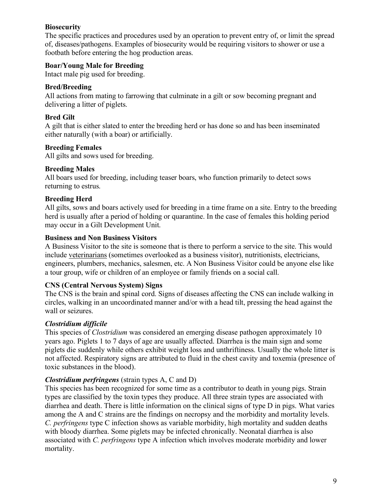## **Biosecurity**

The specific practices and procedures used by an operation to prevent entry of, or limit the spread of, diseases/pathogens. Examples of biosecurity would be requiring visitors to shower or use a footbath before entering the hog production areas.

## **Boar/Young Male for Breeding**

Intact male pig used for breeding.

## **Bred/Breeding**

All actions from mating to farrowing that culminate in a gilt or sow becoming pregnant and delivering a litter of piglets.

## **Bred Gilt**

A gilt that is either slated to enter the breeding herd or has done so and has been inseminated either naturally (with a boar) or artificially.

## **Breeding Females**

All gilts and sows used for breeding.

## **Breeding Males**

All boars used for breeding, including teaser boars, who function primarily to detect sows returning to estrus.

## **Breeding Herd**

All gilts, sows and boars actively used for breeding in a time frame on a site. Entry to the breeding herd is usually after a period of holding or quarantine. In the case of females this holding period may occur in a Gilt Development Unit.

#### **Business and Non Business Visitors**

A Business Visitor to the site is someone that is there to perform a service to the site. This would include veterinarians (sometimes overlooked as a business visitor), nutritionists, electricians, engineers, plumbers, mechanics, salesmen, etc. A Non Business Visitor could be anyone else like a tour group, wife or children of an employee or family friends on a social call.

#### **CNS (Central Nervous System) Signs**

The CNS is the brain and spinal cord. Signs of diseases affecting the CNS can include walking in circles, walking in an uncoordinated manner and/or with a head tilt, pressing the head against the wall or seizures.

## *Clostridium difficile*

This species of *Clostridium* was considered an emerging disease pathogen approximately 10 years ago. Piglets 1 to 7 days of age are usually affected. Diarrhea is the main sign and some piglets die suddenly while others exhibit weight loss and unthriftiness. Usually the whole litter is not affected. Respiratory signs are attributed to fluid in the chest cavity and toxemia (presence of toxic substances in the blood).

#### *Clostridium perfringens* (strain types A, C and D)

This species has been recognized for some time as a contributor to death in young pigs. Strain types are classified by the toxin types they produce. All three strain types are associated with diarrhea and death. There is little information on the clinical signs of type D in pigs. What varies among the A and C strains are the findings on necropsy and the morbidity and mortality levels. *C. perfringens* type C infection shows as variable morbidity, high mortality and sudden deaths with bloody diarrhea. Some piglets may be infected chronically. Neonatal diarrhea is also associated with *C. perfringens* type A infection which involves moderate morbidity and lower mortality.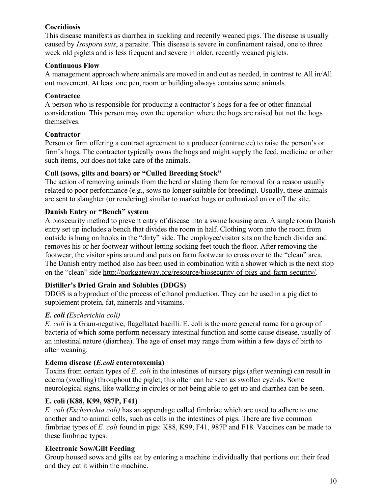## **Coccidiosis**

This disease manifests as diarrhea in suckling and recently weaned pigs. The disease is usually caused by *Isospora suis*, a parasite. This disease is severe in confinement raised, one to three week old piglets and is less frequent and severe in older, recently weaned piglets.

## **Continuous Flow**

A management approach where animals are moved in and out as needed, in contrast to All in/All out movement. At least one pen, room or building always contains some animals.

#### **Contractee**

A person who is responsible for producing a contractor's hogs for a fee or other financial consideration. This person may own the operation where the hogs are raised but not the hogs themselves.

#### **Contractor**

Person or firm offering a contract agreement to a producer (contractee) to raise the person's or firm's hogs. The contractor typically owns the hogs and might supply the feed, medicine or other such items, but does not take care of the animals.

## **Cull (sows, gilts and boars) or "Culled Breeding Stock"**

The action of removing animals from the herd or slating them for removal for a reason usually related to poor performance (e.g., sows no longer suitable for breeding). Usually, these animals are sent to slaughter (or rendering) similar to market hogs or euthanized on or off the site.

## **Danish Entry or "Bench" system**

A biosecurity method to prevent entry of disease into a swine housing area. A single room Danish entry set up includes a bench that divides the room in half. Clothing worn into the room from outside is hung on hooks in the "dirty" side. The employee/visitor sits on the bench divider and removes his or her footwear without letting socking feet touch the floor. After removing the footwear, the visitor spins around and puts on farm footwear to cross over to the "clean" area. The Danish entry method also has been used in combination with a shower which is the next stop on the "clean" side [http://porkgateway.org/resource/biosecurity-of-pigs-and-farm-security/.](http://porkgateway.org/resource/biosecurity-of-pigs-and-farm-security/)

## **Distiller's Dried Grain and Solubles (DDGS)**

DDGS is a byproduct of the process of ethanol production. They can be used in a pig diet to supplement protein, fat, minerals and vitamins.

## *E. coli (Escherichia coli)*

*E. coli* is a Gram-negative, flagellated bacilli. E. coli is the more general name for a group of bacteria of which some perform necessary intestinal function and some cause disease, usually of an intestinal nature (diarrhea). The age of onset may range from within a few days of birth to after weaning.

## **Edema disease (***E.coli* **enterotoxemia)**

Toxins from certain types of *E. coli* in the intestines of nursery pigs (after weaning) can result in edema (swelling) throughout the piglet; this often can be seen as swollen eyelids. Some neurological signs, like walking in circles or not being able to get up and diarrhea can be seen.

## **E. coli (K88, K99, 987P, F41)**

*E. coli (Escherichia coli)* has an appendage called fimbriae which are used to adhere to one another and to animal cells, such as cells in the intestines of pigs. There are five common fimbriae types of *E. coli* found in pigs: K88, K99, F41, 987P and F18. Vaccines can be made to these fimbriae types.

## **Electronic Sow/Gilt Feeding**

Group housed sows and gilts eat by entering a machine individually that portions out their feed and they eat it within the machine.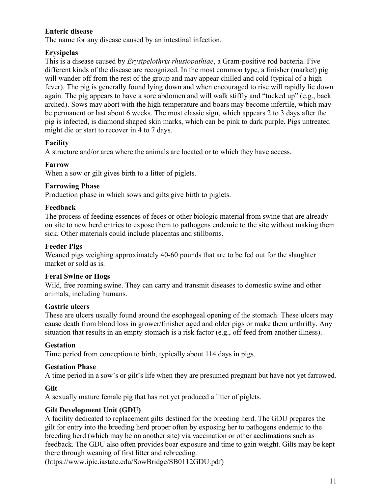## **Enteric disease**

The name for any disease caused by an intestinal infection.

## **Erysipelas**

This is a disease caused by *Erysipelothrix rhusiopathiae*, a Gram-positive rod bacteria. Five different kinds of the disease are recognized. In the most common type, a finisher (market) pig will wander off from the rest of the group and may appear chilled and cold (typical of a high fever). The pig is generally found lying down and when encouraged to rise will rapidly lie down again. The pig appears to have a sore abdomen and will walk stiffly and "tucked up" (e.g., back arched). Sows may abort with the high temperature and boars may become infertile, which may be permanent or last about 6 weeks. The most classic sign, which appears 2 to 3 days after the pig is infected, is diamond shaped skin marks, which can be pink to dark purple. Pigs untreated might die or start to recover in 4 to 7 days.

## **Facility**

A structure and/or area where the animals are located or to which they have access.

## **Farrow**

When a sow or gilt gives birth to a litter of piglets.

#### **Farrowing Phase**

Production phase in which sows and gilts give birth to piglets.

#### **Feedback**

The process of feeding essences of feces or other biologic material from swine that are already on site to new herd entries to expose them to pathogens endemic to the site without making them sick. Other materials could include placentas and stillborns.

#### **Feeder Pigs**

Weaned pigs weighing approximately 40-60 pounds that are to be fed out for the slaughter market or sold as is.

#### **Feral Swine or Hogs**

Wild, free roaming swine. They can carry and transmit diseases to domestic swine and other animals, including humans.

#### **Gastric ulcers**

These are ulcers usually found around the esophageal opening of the stomach. These ulcers may cause death from blood loss in grower/finisher aged and older pigs or make them unthrifty. Any situation that results in an empty stomach is a risk factor (e.g., off feed from another illness).

## **Gestation**

Time period from conception to birth, typically about 114 days in pigs.

#### **Gestation Phase**

A time period in a sow's or gilt's life when they are presumed pregnant but have not yet farrowed.

## **Gilt**

A sexually mature female pig that has not yet produced a litter of piglets.

## **Gilt Development Unit (GDU)**

A facility dedicated to replacement gilts destined for the breeding herd. The GDU prepares the gilt for entry into the breeding herd proper often by exposing her to pathogens endemic to the breeding herd (which may be on another site) via vaccination or other acclimations such as feedback. The GDU also often provides boar exposure and time to gain weight. Gilts may be kept there through weaning of first litter and rebreeding.

[\(https://www.ipic.iastate.edu/SowBridge/SB0112GDU.pdf\)](https://www.ipic.iastate.edu/SowBridge/SB0112GDU.pdf)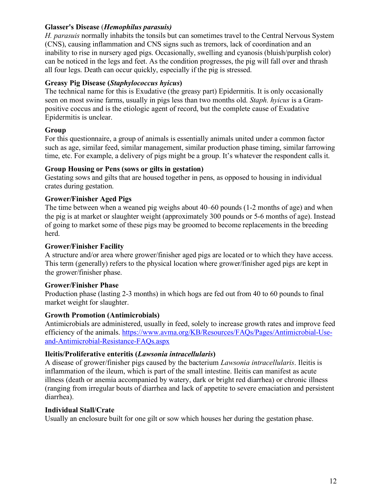#### **Glasser's Disease** (*Hemophilus parasuis)*

*H. parasuis* normally inhabits the tonsils but can sometimes travel to the Central Nervous System (CNS), causing inflammation and CNS signs such as tremors, lack of coordination and an inability to rise in nursery aged pigs. Occasionally, swelling and cyanosis (bluish/purplish color) can be noticed in the legs and feet. As the condition progresses, the pig will fall over and thrash all four legs. Death can occur quickly, especially if the pig is stressed.

## **Greasy Pig Disease (***Staphylococcus hyicus***)**

The technical name for this is Exudative (the greasy part) Epidermitis. It is only occasionally seen on most swine farms, usually in pigs less than two months old. *Staph. hyicus* is a Grampositive coccus and is the etiologic agent of record, but the complete cause of Exudative Epidermitis is unclear.

## **Group**

For this questionnaire, a group of animals is essentially animals united under a common factor such as age, similar feed, similar management, similar production phase timing, similar farrowing time, etc. For example, a delivery of pigs might be a group. It's whatever the respondent calls it.

## **Group Housing or Pens (sows or gilts in gestation)**

Gestating sows and gilts that are housed together in pens, as opposed to housing in individual crates during gestation.

## **Grower/Finisher Aged Pigs**

The time between when a weaned pig weighs about 40–60 pounds (1-2 months of age) and when the pig is at market or slaughter weight (approximately 300 pounds or 5-6 months of age). Instead of going to market some of these pigs may be groomed to become replacements in the breeding herd.

#### **Grower/Finisher Facility**

A structure and/or area where grower/finisher aged pigs are located or to which they have access. This term (generally) refers to the physical location where grower/finisher aged pigs are kept in the grower/finisher phase.

#### **Grower/Finisher Phase**

Production phase (lasting 2-3 months) in which hogs are fed out from 40 to 60 pounds to final market weight for slaughter.

#### **Growth Promotion (Antimicrobials)**

Antimicrobials are administered, usually in feed, solely to increase growth rates and improve feed efficiency of the animals. [https://www.avma.org/KB/Resources/FAQs/Pages/Antimicrobial-Use](https://www.avma.org/KB/Resources/FAQs/Pages/Antimicrobial-Use-and-Antimicrobial-Resistance-FAQs.aspx)[and-Antimicrobial-Resistance-FAQs.aspx](https://www.avma.org/KB/Resources/FAQs/Pages/Antimicrobial-Use-and-Antimicrobial-Resistance-FAQs.aspx)

## **Ileitis/Proliferative enteritis (***Lawsonia intracellularis***)**

A disease of grower/finisher pigs caused by the bacterium *Lawsonia intracellularis*. Ileitis is inflammation of the ileum, which is part of the small intestine. Ileitis can manifest as acute illness (death or anemia accompanied by watery, dark or bright red diarrhea) or chronic illness (ranging from irregular bouts of diarrhea and lack of appetite to severe emaciation and persistent diarrhea).

#### **Individual Stall/Crate**

Usually an enclosure built for one gilt or sow which houses her during the gestation phase.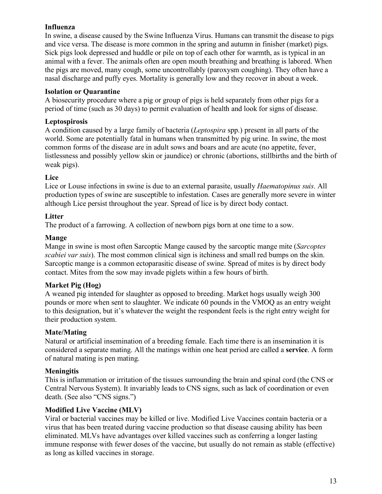## **Influenza**

In swine, a disease caused by the Swine Influenza Virus. Humans can transmit the disease to pigs and vice versa. The disease is more common in the spring and autumn in finisher (market) pigs. Sick pigs look depressed and huddle or pile on top of each other for warmth, as is typical in an animal with a fever. The animals often are open mouth breathing and breathing is labored. When the pigs are moved, many cough, some uncontrollably (paroxysm coughing). They often have a nasal discharge and puffy eyes. Mortality is generally low and they recover in about a week.

## **Isolation or Quarantine**

A biosecurity procedure where a pig or group of pigs is held separately from other pigs for a period of time (such as 30 days) to permit evaluation of health and look for signs of disease.

## **Leptospirosis**

A condition caused by a large family of bacteria (*Leptospira* spp.) present in all parts of the world. Some are potentially fatal in humans when transmitted by pig urine. In swine, the most common forms of the disease are in adult sows and boars and are acute (no appetite, fever, listlessness and possibly yellow skin or jaundice) or chronic (abortions, stillbirths and the birth of weak pigs).

## **Lice**

Lice or Louse infections in swine is due to an external parasite, usually *Haematopinus suis*. All production types of swine are susceptible to infestation. Cases are generally more severe in winter although Lice persist throughout the year. Spread of lice is by direct body contact.

## **Litter**

The product of a farrowing. A collection of newborn pigs born at one time to a sow.

## **Mange**

Mange in swine is most often Sarcoptic Mange caused by the sarcoptic mange mite (*Sarcoptes scabiei var suis*). The most common clinical sign is itchiness and small red bumps on the skin. Sarcoptic mange is a common ectoparasitic disease of swine. Spread of mites is by direct body contact. Mites from the sow may invade piglets within a few hours of birth.

## **Market Pig (Hog)**

A weaned pig intended for slaughter as opposed to breeding. Market hogs usually weigh 300 pounds or more when sent to slaughter. We indicate 60 pounds in the VMOQ as an entry weight to this designation, but it's whatever the weight the respondent feels is the right entry weight for their production system.

## **Mate/Mating**

Natural or artificial insemination of a breeding female. Each time there is an insemination it is considered a separate mating. All the matings within one heat period are called a **service**. A form of natural mating is pen mating.

## **Meningitis**

This is inflammation or irritation of the tissues surrounding the brain and spinal cord (the CNS or Central Nervous System). It invariably leads to CNS signs, such as lack of coordination or even death. (See also "CNS signs.")

## **Modified Live Vaccine (MLV)**

Viral or bacterial vaccines may be killed or live. Modified Live Vaccines contain bacteria or a virus that has been treated during vaccine production so that disease causing ability has been eliminated. MLVs have advantages over killed vaccines such as conferring a longer lasting immune response with fewer doses of the vaccine, but usually do not remain as stable (effective) as long as killed vaccines in storage.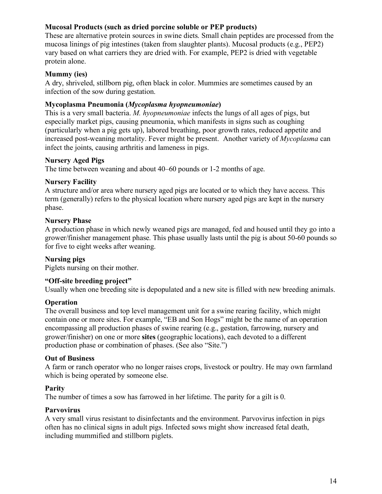## **Mucosal Products (such as dried porcine soluble or PEP products)**

These are alternative protein sources in swine diets. Small chain peptides are processed from the mucosa linings of pig intestines (taken from slaughter plants). Mucosal products (e.g., PEP2) vary based on what carriers they are dried with. For example, PEP2 is dried with vegetable protein alone.

#### **Mummy (ies)**

A dry, shriveled, stillborn pig, often black in color. Mummies are sometimes caused by an infection of the sow during gestation.

#### **Mycoplasma Pneumonia (***Mycoplasma hyopneumoniae***)**

This is a very small bacteria. *M. hyopneumoniae* infects the lungs of all ages of pigs, but especially market pigs, causing pneumonia, which manifests in signs such as coughing (particularly when a pig gets up), labored breathing, poor growth rates, reduced appetite and increased post-weaning mortality. Fever might be present. Another variety of *Mycoplasma* can infect the joints, causing arthritis and lameness in pigs.

#### **Nursery Aged Pigs**

The time between weaning and about 40–60 pounds or 1-2 months of age.

#### **Nursery Facility**

A structure and/or area where nursery aged pigs are located or to which they have access. This term (generally) refers to the physical location where nursery aged pigs are kept in the nursery phase.

#### **Nursery Phase**

A production phase in which newly weaned pigs are managed, fed and housed until they go into a grower/finisher management phase. This phase usually lasts until the pig is about 50-60 pounds so for five to eight weeks after weaning.

#### **Nursing pigs**

Piglets nursing on their mother.

#### **"Off-site breeding project"**

Usually when one breeding site is depopulated and a new site is filled with new breeding animals.

#### **Operation**

The overall business and top level management unit for a swine rearing facility, which might contain one or more sites. For example, "EB and Son Hogs" might be the name of an operation encompassing all production phases of swine rearing (e.g., gestation, farrowing, nursery and grower/finisher) on one or more **sites** (geographic locations), each devoted to a different production phase or combination of phases. (See also "Site.")

#### **Out of Business**

A farm or ranch operator who no longer raises crops, livestock or poultry. He may own farmland which is being operated by someone else.

#### **Parity**

The number of times a sow has farrowed in her lifetime. The parity for a gilt is 0.

#### **Parvovirus**

A very small virus resistant to disinfectants and the environment. Parvovirus infection in pigs often has no clinical signs in adult pigs. Infected sows might show increased fetal death, including mummified and stillborn piglets.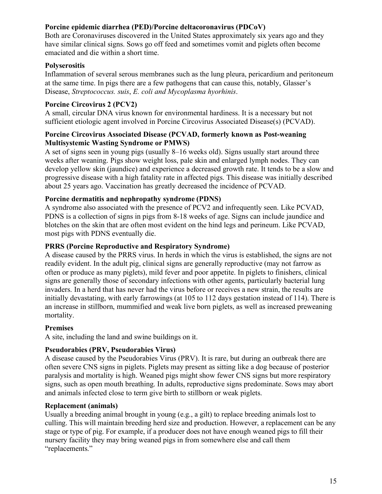## **Porcine epidemic diarrhea (PED)/Porcine deltacoronavirus (PDCoV)**

Both are Coronaviruses discovered in the United States approximately six years ago and they have similar clinical signs. Sows go off feed and sometimes vomit and piglets often become emaciated and die within a short time.

## **Polyserositis**

Inflammation of several serous membranes such as the lung pleura, pericardium and peritoneum at the same time. In pigs there are a few pathogens that can cause this, notably, Glasser's Disease, *Streptococcus. suis*, *E. coli and Mycoplasma hyorhinis*.

## **Porcine Circovirus 2 (PCV2)**

A small, circular DNA virus known for environmental hardiness. It is a necessary but not sufficient etiologic agent involved in Porcine Circovirus Associated Disease(s) (PCVAD).

#### **Porcine Circovirus Associated Disease (PCVAD, formerly known as Post-weaning Multisystemic Wasting Syndrome or PMWS)**

A set of signs seen in young pigs (usually 8–16 weeks old). Signs usually start around three weeks after weaning. Pigs show weight loss, pale skin and enlarged lymph nodes. They can develop yellow skin (jaundice) and experience a decreased growth rate. It tends to be a slow and progressive disease with a high fatality rate in affected pigs. This disease was initially described about 25 years ago. Vaccination has greatly decreased the incidence of PCVAD.

## **Porcine dermatitis and nephropathy syndrome (PDNS)**

A syndrome also associated with the presence of PCV2 and infrequently seen. Like PCVAD, PDNS is a collection of signs in pigs from 8-18 weeks of age. Signs can include jaundice and blotches on the skin that are often most evident on the hind legs and perineum. Like PCVAD, most pigs with PDNS eventually die.

#### **PRRS (Porcine Reproductive and Respiratory Syndrome)**

A disease caused by the PRRS virus. In herds in which the virus is established, the signs are not readily evident. In the adult pig, clinical signs are generally reproductive (may not farrow as often or produce as many piglets), mild fever and poor appetite. In piglets to finishers, clinical signs are generally those of secondary infections with other agents, particularly bacterial lung invaders. In a herd that has never had the virus before or receives a new strain, the results are initially devastating, with early farrowings (at 105 to 112 days gestation instead of 114). There is an increase in stillborn, mummified and weak live born piglets, as well as increased preweaning mortality.

## **Premises**

A site, including the land and swine buildings on it.

## **Pseudorabies (PRV, Pseudorabies Virus)**

A disease caused by the Pseudorabies Virus (PRV). It is rare, but during an outbreak there are often severe CNS signs in piglets. Piglets may present as sitting like a dog because of posterior paralysis and mortality is high. Weaned pigs might show fewer CNS signs but more respiratory signs, such as open mouth breathing. In adults, reproductive signs predominate. Sows may abort and animals infected close to term give birth to stillborn or weak piglets.

#### **Replacement (animals)**

Usually a breeding animal brought in young (e.g., a gilt) to replace breeding animals lost to culling. This will maintain breeding herd size and production. However, a replacement can be any stage or type of pig. For example, if a producer does not have enough weaned pigs to fill their nursery facility they may bring weaned pigs in from somewhere else and call them "replacements."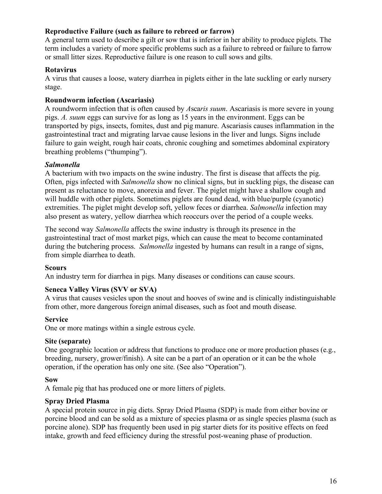#### **Reproductive Failure (such as failure to rebreed or farrow)**

A general term used to describe a gilt or sow that is inferior in her ability to produce piglets. The term includes a variety of more specific problems such as a failure to rebreed or failure to farrow or small litter sizes. Reproductive failure is one reason to cull sows and gilts.

#### **Rotavirus**

A virus that causes a loose, watery diarrhea in piglets either in the late suckling or early nursery stage.

#### **Roundworm infection (Ascariasis)**

A roundworm infection that is often caused by *A*sca*ris suum*. Ascariasis is more severe in young pigs. *A. suum* eggs can survive for as long as 15 years in the environment. Eggs can be transported by pigs, insects, fomites, dust and pig manure. Ascariasis causes inflammation in the gastrointestinal tract and migrating larvae cause lesions in the liver and lungs. Signs include failure to gain weight, rough hair coats, chronic coughing and sometimes abdominal expiratory breathing problems ("thumping").

## *Salmonella*

A bacterium with two impacts on the swine industry. The first is disease that affects the pig. Often, pigs infected with *Salmonella* show no clinical signs, but in suckling pigs, the disease can present as reluctance to move, anorexia and fever. The piglet might have a shallow cough and will huddle with other piglets. Sometimes piglets are found dead, with blue/purple (cyanotic) extremities. The piglet might develop soft, yellow feces or diarrhea. *Salmonella* infection may also present as watery, yellow diarrhea which reoccurs over the period of a couple weeks.

The second way *Salmonella* affects the swine industry is through its presence in the gastrointestinal tract of most market pigs, which can cause the meat to become contaminated during the butchering process. *Salmonella* ingested by humans can result in a range of signs, from simple diarrhea to death.

#### **Scours**

An industry term for diarrhea in pigs. Many diseases or conditions can cause scours.

#### **Seneca Valley Virus (SVV or SVA)**

A virus that causes vesicles upon the snout and hooves of swine and is clinically indistinguishable from other, more dangerous foreign animal diseases, such as foot and mouth disease.

#### **Service**

One or more matings within a single estrous cycle.

#### **Site (separate)**

One geographic location or address that functions to produce one or more production phases (e.g., breeding, nursery, grower/finish). A site can be a part of an operation or it can be the whole operation, if the operation has only one site. (See also "Operation").

#### **Sow**

A female pig that has produced one or more litters of piglets.

#### **Spray Dried Plasma**

A special protein source in pig diets. Spray Dried Plasma (SDP) is made from either bovine or porcine blood and can be sold as a mixture of species plasma or as single species plasma (such as porcine alone). SDP has frequently been used in pig starter diets for its positive effects on feed intake, growth and feed efficiency during the stressful post-weaning phase of production.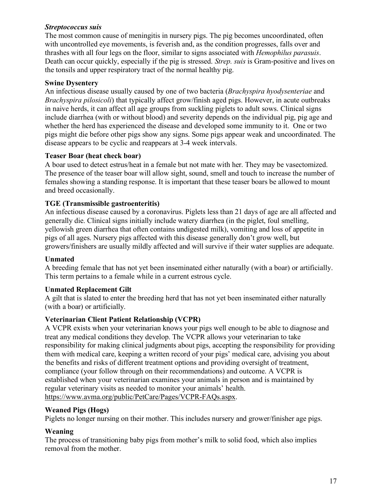#### *Streptococcus suis*

The most common cause of meningitis in nursery pigs. The pig becomes uncoordinated, often with uncontrolled eye movements, is feverish and, as the condition progresses, falls over and thrashes with all four legs on the floor, similar to signs associated with *Hemophilus parasuis*. Death can occur quickly, especially if the pig is stressed. *Strep. suis* is Gram-positive and lives on the tonsils and upper respiratory tract of the normal healthy pig.

## **Swine Dysentery**

An infectious disease usually caused by one of two bacteria (*Brachyspira hyodysenteriae* and *Brachyspira pilosicoli*) that typically affect grow/finish aged pigs. However, in acute outbreaks in naive herds, it can affect all age groups from suckling piglets to adult sows. Clinical signs include diarrhea (with or without blood) and severity depends on the individual pig, pig age and whether the herd has experienced the disease and developed some immunity to it. One or two pigs might die before other pigs show any signs. Some pigs appear weak and uncoordinated. The disease appears to be cyclic and reappears at 3-4 week intervals.

#### **Teaser Boar (heat check boar)**

A boar used to detect estrus/heat in a female but not mate with her. They may be vasectomized. The presence of the teaser boar will allow sight, sound, smell and touch to increase the number of females showing a standing response. It is important that these teaser boars be allowed to mount and breed occasionally.

## **TGE (Transmissible gastroenteritis)**

An infectious disease caused by a coronavirus. Piglets less than 21 days of age are all affected and generally die. Clinical signs initially include watery diarrhea (in the piglet, foul smelling, yellowish green diarrhea that often contains undigested milk), vomiting and loss of appetite in pigs of all ages. Nursery pigs affected with this disease generally don't grow well, but growers/finishers are usually mildly affected and will survive if their water supplies are adequate.

#### **Unmated**

A breeding female that has not yet been inseminated either naturally (with a boar) or artificially. This term pertains to a female while in a current estrous cycle.

#### **Unmated Replacement Gilt**

A gilt that is slated to enter the breeding herd that has not yet been inseminated either naturally (with a boar) or artificially.

## **Veterinarian Client Patient Relationship (VCPR)**

A VCPR exists when your veterinarian knows your pigs well enough to be able to diagnose and treat any medical conditions they develop. The VCPR allows your veterinarian to take responsibility for making clinical judgments about pigs, accepting the responsibility for providing them with medical care, keeping a written record of your pigs' medical care, advising you about the benefits and risks of different treatment options and providing oversight of treatment, compliance (your follow through on their recommendations) and outcome. A VCPR is established when your veterinarian examines your animals in person and is maintained by regular veterinary visits as needed to monitor your animals' health. [https://www.avma.org/public/PetCare/Pages/VCPR-FAQs.aspx.](https://www.avma.org/public/PetCare/Pages/VCPR-FAQs.aspx)

#### **Weaned Pigs (Hogs)**

Piglets no longer nursing on their mother. This includes nursery and grower/finisher age pigs.

## **Weaning**

The process of transitioning baby pigs from mother's milk to solid food, which also implies removal from the mother.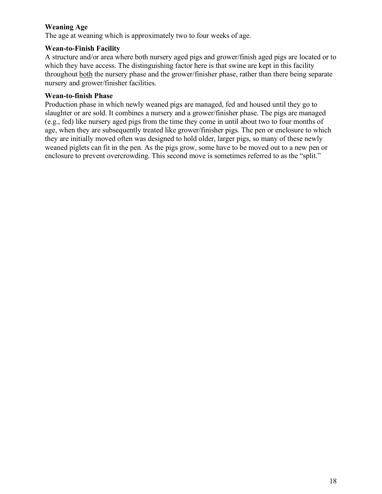## **Weaning Age**

The age at weaning which is approximately two to four weeks of age.

#### **Wean-to-Finish Facility**

A structure and/or area where both nursery aged pigs and grower/finish aged pigs are located or to which they have access. The distinguishing factor here is that swine are kept in this facility throughout both the nursery phase and the grower/finisher phase, rather than there being separate nursery and grower/finisher facilities.

#### **Wean-to-finish Phase**

Production phase in which newly weaned pigs are managed, fed and housed until they go to slaughter or are sold. It combines a nursery and a grower/finisher phase. The pigs are managed (e.g., fed) like nursery aged pigs from the time they come in until about two to four months of age, when they are subsequently treated like grower/finisher pigs. The pen or enclosure to which they are initially moved often was designed to hold older, larger pigs, so many of these newly weaned piglets can fit in the pen. As the pigs grow, some have to be moved out to a new pen or enclosure to prevent overcrowding. This second move is sometimes referred to as the "split."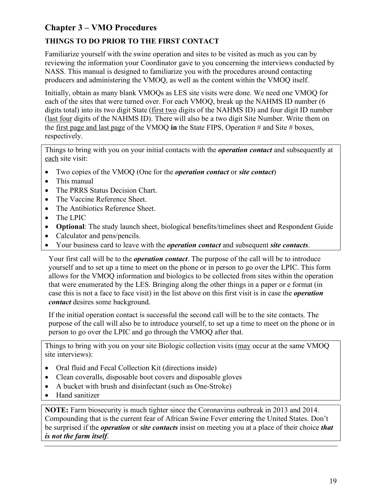# <span id="page-18-0"></span>**Chapter 3 – VMO Procedures**

# <span id="page-18-1"></span>**THINGS TO DO PRIOR TO THE FIRST CONTACT**

Familiarize yourself with the swine operation and sites to be visited as much as you can by reviewing the information your Coordinator gave to you concerning the interviews conducted by NASS. This manual is designed to familiarize you with the procedures around contacting producers and administering the VMOQ, as well as the content within the VMOQ itself.

Initially, obtain as many blank VMOQs as LES site visits were done. We need one VMOQ for each of the sites that were turned over. For each VMOQ, break up the NAHMS ID number (6 digits total) into its two digit State (first two digits of the NAHMS ID) and four digit ID number (last four digits of the NAHMS ID). There will also be a two digit Site Number. Write them on the first page and last page of the VMOQ **in** the State FIPS, Operation # and Site # boxes, respectively.

Things to bring with you on your initial contacts with the *operation contact* and subsequently at each site visit:

- Two copies of the VMOQ (One for the *operation contact* or *site contact*)
- This manual
- The PRRS Status Decision Chart.
- The Vaccine Reference Sheet.
- The Antibiotics Reference Sheet.
- The LPIC
- **Optional**: The study launch sheet, biological benefits/timelines sheet and Respondent Guide
- Calculator and pens/pencils.
- Your business card to leave with the *operation contact* and subsequent *site contacts*.

Your first call will be to the *operation contact*. The purpose of the call will be to introduce yourself and to set up a time to meet on the phone or in person to go over the LPIC. This form allows for the VMOQ information and biologics to be collected from sites within the operation that were enumerated by the LES. Bringing along the other things in a paper or e format (in case this is not a face to face visit) in the list above on this first visit is in case the *operation contact* desires some background.

If the initial operation contact is successful the second call will be to the site contacts. The purpose of the call will also be to introduce yourself, to set up a time to meet on the phone or in person to go over the LPIC and go through the VMOQ after that.

Things to bring with you on your site Biologic collection visits (may occur at the same VMOQ site interviews):

- Oral fluid and Fecal Collection Kit (directions inside)
- Clean coveralls, disposable boot covers and disposable gloves
- A bucket with brush and disinfectant (such as One-Stroke)
- Hand sanitizer

**NOTE:** Farm biosecurity is much tighter since the Coronavirus outbreak in 2013 and 2014. Compounding that is the current fear of African Swine Fever entering the United States. Don't be surprised if the *operation* or *site contacts* insist on meeting you at a place of their choice *that is not the farm itself*.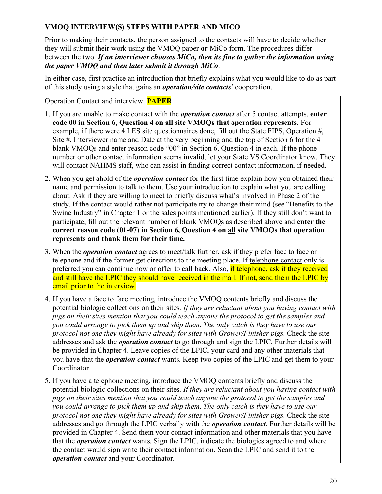## <span id="page-19-0"></span>**VMOQ INTERVIEW(S) STEPS WITH PAPER AND MICO**

Prior to making their contacts, the person assigned to the contacts will have to decide whether they will submit their work using the VMOQ paper **or** MiCo form. The procedures differ between the two. *If an interviewer chooses MiCo, then its fine to gather the information using the paper VMOQ and then later submit it through MiCo*.

In either case, first practice an introduction that briefly explains what you would like to do as part of this study using a style that gains an *operation/site contacts'* cooperation.

Operation Contact and interview. **PAPER** 

- 1. If you are unable to make contact with the *operation contact* after 5 contact attempts, **enter code 00 in Section 6, Question 4 on all site VMOQs that operation represents.** For example, if there were 4 LES site questionnaires done, fill out the State FIPS, Operation #, Site #, Interviewer name and Date at the very beginning and the top of Section 6 for the 4 blank VMOQs and enter reason code "00" in Section 6, Question 4 in each. If the phone number or other contact information seems invalid, let your State VS Coordinator know. They will contact NAHMS staff, who can assist in finding correct contact information, if needed.
- 2. When you get ahold of the *operation contact* for the first time explain how you obtained their name and permission to talk to them. Use your introduction to explain what you are calling about. Ask if they are willing to meet to briefly discuss what's involved in Phase 2 of the study. If the contact would rather not participate try to change their mind (see "Benefits to the Swine Industry" in Chapter 1 or the sales points mentioned earlier). If they still don't want to participate, fill out the relevant number of blank VMOQs as described above and **enter the correct reason code (01-07) in Section 6, Question 4 on all site VMOQs that operation represents and thank them for their time.**
- 3. When the *operation contact* agrees to meet/talk further, ask if they prefer face to face or telephone and if the former get directions to the meeting place. If telephone contact only is preferred you can continue now or offer to call back. Also, if telephone, ask if they received and still have the LPIC they should have received in the mail. If not, send them the LPIC by email prior to the interview.
- 4. If you have a face to face meeting, introduce the VMOQ contents briefly and discuss the potential biologic collections on their sites. *If they are reluctant about you having contact with pigs on their sites mention that you could teach anyone the protocol to get the samples and you could arrange to pick them up and ship them*. *The only catch is they have to use our protocol not one they might have already for sites with Grower/Finisher pigs.* Check the site addresses and ask the *operation contact* to go through and sign the LPIC. Further details will be provided in Chapter 4. Leave copies of the LPIC, your card and any other materials that you have that the *operation contact* wants. Keep two copies of the LPIC and get them to your Coordinator.
- 5. If you have a telephone meeting, introduce the VMOQ contents briefly and discuss the potential biologic collections on their sites. *If they are reluctant about you having contact with pigs on their sites mention that you could teach anyone the protocol to get the samples and you could arrange to pick them up and ship them*. *The only catch is they have to use our protocol not one they might have already for sites with Grower/Finisher pigs. Check the site* addresses and go through the LPIC verbally with the *operation contact*. Further details will be provided in Chapter 4. Send them your contact information and other materials that you have that the *operation contact* wants. Sign the LPIC, indicate the biologics agreed to and where the contact would sign write their contact information. Scan the LPIC and send it to the *operation contact* and your Coordinator.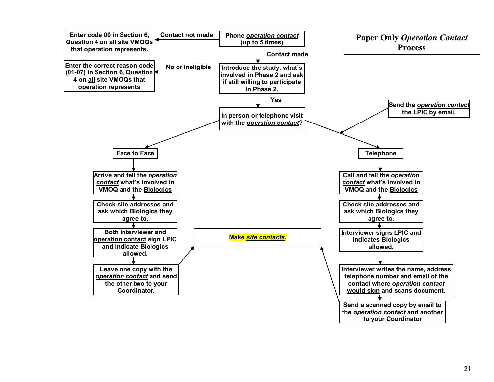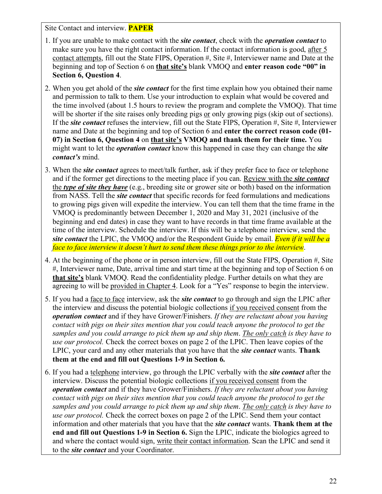Site Contact and interview. **PAPER**

- 1. If you are unable to make contact with the *site contact*, check with the *operation contact* to make sure you have the right contact information. If the contact information is good, after 5 contact attempts, fill out the State FIPS, Operation #, Site #, Interviewer name and Date at the beginning and top of Section 6 on **that site's** blank VMOQ and **enter reason code "00" in Section 6, Question 4**.
- 2. When you get ahold of the *site contact* for the first time explain how you obtained their name and permission to talk to them. Use your introduction to explain what would be covered and the time involved (about 1.5 hours to review the program and complete the VMOQ). That time will be shorter if the site raises only breeding pigs or only growing pigs (skip out of sections). If the *site contact* refuses the interview, fill out the State FIPS, Operation #, Site #, Interviewer name and Date at the beginning and top of Section 6 and **enter the correct reason code (01- 07) in Section 6, Question 4** on **that site's VMOQ and thank them for their time.** You might want to let the *operation contact* know this happened in case they can change the *site contact's* mind.
- 3. When the *site contact* agrees to meet/talk further, ask if they prefer face to face or telephone and if the former get directions to the meeting place if you can. Review with the *site contact* the *type of site they have* (e.g., breeding site or grower site or both) based on the information from NASS. Tell the *site contact* that specific records for feed formulations and medications to growing pigs given will expedite the interview. You can tell them that the time frame in the VMOQ is predominantly between December 1, 2020 and May 31, 2021 (inclusive of the beginning and end dates) in case they want to have records in that time frame available at the time of the interview. Schedule the interview. If this will be a telephone interview, send the *site contact* the LPIC, the VMOQ and/or the Respondent Guide by email. *Even if it will be a face to face interview it doesn't hurt to send them these things prior to the interview*.
- 4. At the beginning of the phone or in person interview, fill out the State FIPS, Operation #, Site #, Interviewer name, Date, arrival time and start time at the beginning and top of Section 6 on **that site's** blank VMOQ. Read the confidentiality pledge. Further details on what they are agreeing to will be provided in Chapter 4. Look for a "Yes" response to begin the interview.
- 5. If you had a face to face interview, ask the *site contact* to go through and sign the LPIC after the interview and discuss the potential biologic collections if you received consent from the *operation contact* and if they have Grower/Finishers. *If they are reluctant about you having contact with pigs on their sites mention that you could teach anyone the protocol to get the samples and you could arrange to pick them up and ship them*. *The only catch is they have to use our protocol.* Check the correct boxes on page 2 of the LPIC. Then leave copies of the LPIC, your card and any other materials that you have that the *site contact* wants. **Thank them at the end and fill out Questions 1-9 in Section 6.**
- 6. If you had a telephone interview, go through the LPIC verbally with the *site contact* after the interview. Discuss the potential biologic collections if you received consent from the *operation contact* and if they have Grower/Finishers. *If they are reluctant about you having contact with pigs on their sites mention that you could teach anyone the protocol to get the samples and you could arrange to pick them up and ship them*. *The only catch is they have to use our protocol.* Check the correct boxes on page 2 of the LPIC. Send them your contact information and other materials that you have that the *site contact* wants. **Thank them at the end and fill out Questions 1-9 in Section 6.** Sign the LPIC, indicate the biologics agreed to and where the contact would sign, write their contact information. Scan the LPIC and send it to the *site contact* and your Coordinator.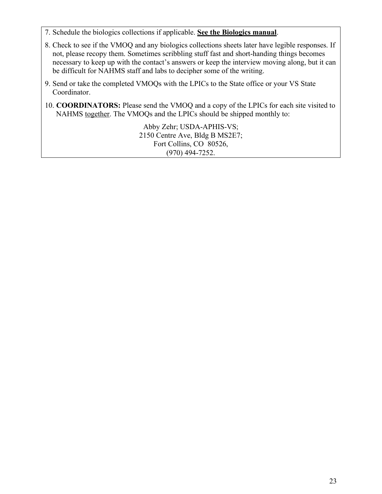- 7. Schedule the biologics collections if applicable. **See the Biologics manual**.
- 8. Check to see if the VMOQ and any biologics collections sheets later have legible responses. If not, please recopy them. Sometimes scribbling stuff fast and short-handing things becomes necessary to keep up with the contact's answers or keep the interview moving along, but it can be difficult for NAHMS staff and labs to decipher some of the writing.
- 9. Send or take the completed VMOQs with the LPICs to the State office or your VS State Coordinator.
- 10. **COORDINATORS:** Please send the VMOQ and a copy of the LPICs for each site visited to NAHMS together. The VMOQs and the LPICs should be shipped monthly to:

Abby Zehr; USDA-APHIS-VS; 2150 Centre Ave, Bldg B MS2E7; Fort Collins, CO 80526, (970) 494-7252.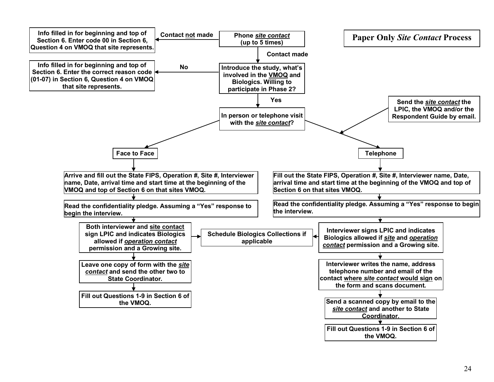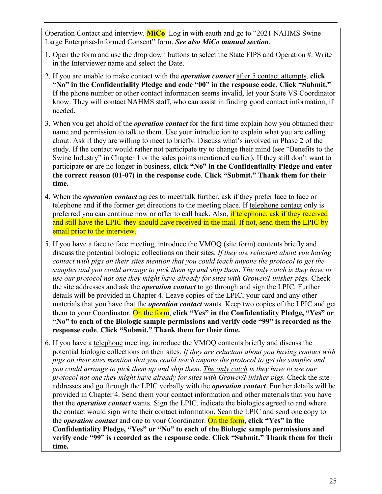Operation Contact and interview. **MiCo** Log in with eauth and go to "2021 NAHMS Swine Large Enterprise-Informed Consent" form. *See also MiCo manual section*.

- 1. Open the form and use the drop down buttons to select the State FIPS and Operation #. Write in the Interviewer name and select the Date.
- 2. If you are unable to make contact with the *operation contact* after 5 contact attempts, **click "No" in the Confidentiality Pledge and code "00" in the response code**. **Click "Submit."** If the phone number or other contact information seems invalid, let your State VS Coordinator know. They will contact NAHMS staff, who can assist in finding good contact information, if needed.
- 3. When you get ahold of the *operation contact* for the first time explain how you obtained their name and permission to talk to them. Use your introduction to explain what you are calling about. Ask if they are willing to meet to briefly. Discuss what's involved in Phase 2 of the study. If the contact would rather not participate try to change their mind (see "Benefits to the Swine Industry" in Chapter 1 or the sales points mentioned earlier). If they still don't want to participate **or** are no longer in business, **click "No" in the Confidentiality Pledge and enter the correct reason (01-07) in the response code**. **Click "Submit." Thank them for their time.**
- 4. When the *operation contact* agrees to meet/talk further, ask if they prefer face to face or telephone and if the former get directions to the meeting place. If telephone contact only is preferred you can continue now or offer to call back. Also, if telephone, ask if they received and still have the LPIC they should have received in the mail. If not, send them the LPIC by email prior to the interview.
- 5. If you have a face to face meeting, introduce the VMOQ (site form) contents briefly and discuss the potential biologic collections on their sites. *If they are reluctant about you having contact with pigs on their sites mention that you could teach anyone the protocol to get the samples and you could arrange to pick them up and ship them*. *The only catch is they have to use our protocol not one they might have already for sites with Grower/Finisher pigs.* Check the site addresses and ask the *operation contact* to go through and sign the LPIC. Further details will be provided in Chapter 4. Leave copies of the LPIC, your card and any other materials that you have that the *operation contact* wants. Keep two copies of the LPIC and get them to your Coordinator. On the form, **click "Yes" in the Confidentiality Pledge, "Yes" or "No" to each of the Biologic sample permissions and verify code "99" is recorded as the response code**. **Click "Submit." Thank them for their time.**
- 6. If you have a telephone meeting, introduce the VMOQ contents briefly and discuss the potential biologic collections on their sites. *If they are reluctant about you having contact with pigs on their sites mention that you could teach anyone the protocol to get the samples and you could arrange to pick them up and ship them*. *The only catch is they have to use our protocol not one they might have already for sites with Grower/Finisher pigs. Check the site* addresses and go through the LPIC verbally with the *operation contact*. Further details will be provided in Chapter 4. Send them your contact information and other materials that you have that the *operation contact* wants. Sign the LPIC, indicate the biologics agreed to and where the contact would sign write their contact information. Scan the LPIC and send one copy to the *operation contact* and one to your Coordinator. On the form, **click "Yes" in the Confidentiality Pledge, "Yes" or "No" to each of the Biologic sample permissions and verify code "99" is recorded as the response code**. **Click "Submit." Thank them for their time.**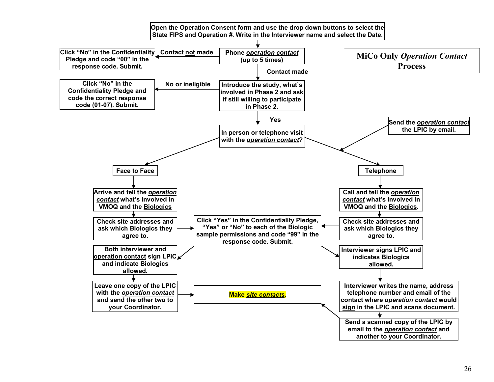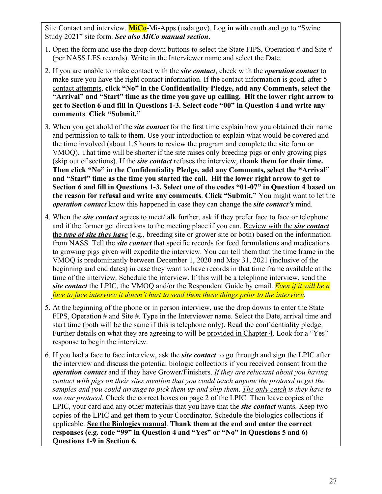Site Contact and interview. **MiCo**-Mi-Apps (usda.gov). Log in with eauth and go to "Swine Study 2021" site form. *See also MiCo manual section*.

- 1. Open the form and use the drop down buttons to select the State FIPS, Operation # and Site # (per NASS LES records). Write in the Interviewer name and select the Date.
- 2. If you are unable to make contact with the *site contact*, check with the *operation contact* to make sure you have the right contact information. If the contact information is good, after 5 contact attempts, **click "No" in the Confidentiality Pledge, add any Comments, select the "Arrival" and "Start" time as the time you gave up calling. Hit the lower right arrow to get to Section 6 and fill in Questions 1-3. Select code "00" in Question 4 and write any comments**. **Click "Submit."**
- 3. When you get ahold of the *site contact* for the first time explain how you obtained their name and permission to talk to them. Use your introduction to explain what would be covered and the time involved (about 1.5 hours to review the program and complete the site form or VMOQ). That time will be shorter if the site raises only breeding pigs or only growing pigs (skip out of sections). If the *site contact* refuses the interview, **thank them for their time. Then click "No" in the Confidentiality Pledge, add any Comments, select the "Arrival" and "Start" time as the time you started the call. Hit the lower right arrow to get to Section 6 and fill in Questions 1-3. Select one of the codes "01-07" in Question 4 based on the reason for refusal and write any comments**. **Click "Submit."** You might want to let the *operation contact* know this happened in case they can change the *site contact's* mind.
- 4. When the *site contact* agrees to meet/talk further, ask if they prefer face to face or telephone and if the former get directions to the meeting place if you can. Review with the *site contact* the *type of site they have* (e.g., breeding site or grower site or both) based on the information from NASS. Tell the *site contact* that specific records for feed formulations and medications to growing pigs given will expedite the interview. You can tell them that the time frame in the VMOQ is predominantly between December 1, 2020 and May 31, 2021 (inclusive of the beginning and end dates) in case they want to have records in that time frame available at the time of the interview. Schedule the interview. If this will be a telephone interview, send the *site contact* the LPIC, the VMOQ and/or the Respondent Guide by email. *Even if it will be a face to face interview it doesn't hurt to send them these things prior to the interview*.
- 5. At the beginning of the phone or in person interview, use the drop downs to enter the State FIPS, Operation # and Site #. Type in the Interviewer name. Select the Date, arrival time and start time (both will be the same if this is telephone only). Read the confidentiality pledge. Further details on what they are agreeing to will be provided in Chapter 4. Look for a "Yes" response to begin the interview.
- 6. If you had a face to face interview, ask the *site contact* to go through and sign the LPIC after the interview and discuss the potential biologic collections if you received consent from the *operation contact* and if they have Grower/Finishers. *If they are reluctant about you having contact with pigs on their sites mention that you could teach anyone the protocol to get the samples and you could arrange to pick them up and ship them*. *The only catch is they have to use our protocol.* Check the correct boxes on page 2 of the LPIC. Then leave copies of the LPIC, your card and any other materials that you have that the *site contact* wants. Keep two copies of the LPIC and get them to your Coordinator. Schedule the biologics collections if applicable. **See the Biologics manual**. **Thank them at the end and enter the correct responses (e.g. code "99" in Question 4 and "Yes" or "No" in Questions 5 and 6) Questions 1-9 in Section 6.**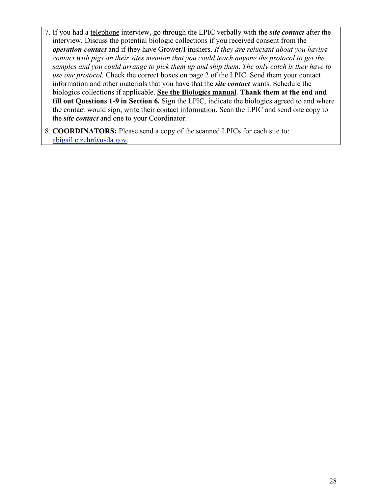- 7. If you had a telephone interview, go through the LPIC verbally with the *site contact* after the interview. Discuss the potential biologic collections if you received consent from the *operation contact* and if they have Grower/Finishers. *If they are reluctant about you having contact with pigs on their sites mention that you could teach anyone the protocol to get the samples and you could arrange to pick them up and ship them*. *The only catch is they have to use our protocol.* Check the correct boxes on page 2 of the LPIC. Send them your contact information and other materials that you have that the *site contact* wants. Schedule the biologics collections if applicable. **See the Biologics manual**. **Thank them at the end and fill out Questions 1-9 in Section 6.** Sign the LPIC, indicate the biologics agreed to and where the contact would sign, write their contact information. Scan the LPIC and send one copy to the *site contact* and one to your Coordinator.
- 8. **COORDINATORS:** Please send a copy of the scanned LPICs for each site to: [abigail.c.zehr@usda.gov.](mailto:abigail.c.zehr@usda.gov)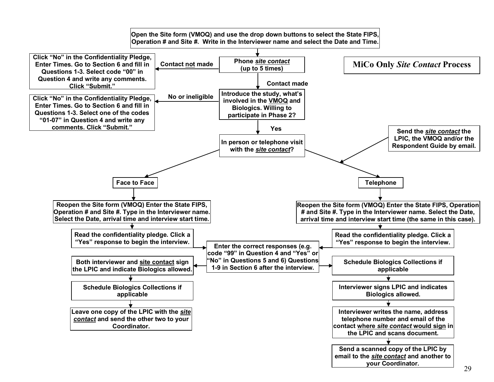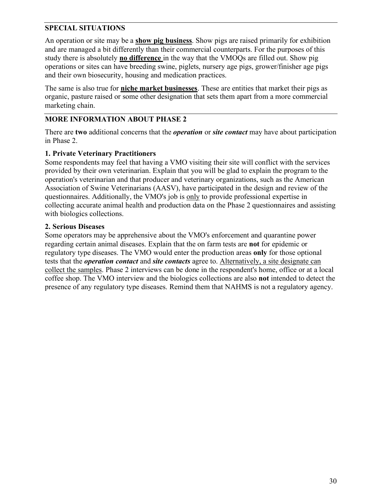## <span id="page-29-0"></span>**SPECIAL SITUATIONS**

An operation or site may be a **show pig business**. Show pigs are raised primarily for exhibition and are managed a bit differently than their commercial counterparts. For the purposes of this study there is absolutely **no difference** in the way that the VMOQs are filled out. Show pig operations or sites can have breeding swine, piglets, nursery age pigs, grower/finisher age pigs and their own biosecurity, housing and medication practices.

The same is also true for **niche market businesses**. These are entities that market their pigs as organic, pasture raised or some other designation that sets them apart from a more commercial marketing chain.

#### <span id="page-29-1"></span>**MORE INFORMATION ABOUT PHASE 2**

There are **two** additional concerns that the *operation* or *site contact* may have about participation in Phase 2.

#### **1. Private Veterinary Practitioners**

Some respondents may feel that having a VMO visiting their site will conflict with the services provided by their own veterinarian. Explain that you will be glad to explain the program to the operation's veterinarian and that producer and veterinary organizations, such as the American Association of Swine Veterinarians (AASV), have participated in the design and review of the questionnaires. Additionally, the VMO's job is only to provide professional expertise in collecting accurate animal health and production data on the Phase 2 questionnaires and assisting with biologics collections.

#### **2. Serious Diseases**

Some operators may be apprehensive about the VMO's enforcement and quarantine power regarding certain animal diseases. Explain that the on farm tests are **not** for epidemic or regulatory type diseases. The VMO would enter the production areas **only** for those optional tests that the *operation contact* and *site contacts* agree to. Alternatively, a site designate can collect the samples. Phase 2 interviews can be done in the respondent's home, office or at a local coffee shop. The VMO interview and the biologics collections are also **not** intended to detect the presence of any regulatory type diseases. Remind them that NAHMS is not a regulatory agency.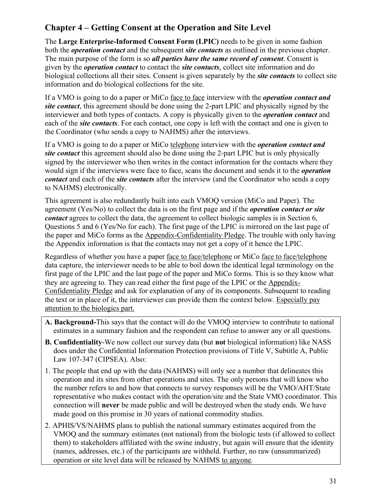# <span id="page-30-0"></span>**Chapter 4 – Getting Consent at the Operation and Site Level**

The **Large Enterprise-Informed Consent Form (LPIC)** needs to be given in some fashion both the *operation contact* and the subsequent *site contacts* as outlined in the previous chapter. The main purpose of the form is so *all parties have the same record of consent*. Consent is given by the *operation contact* to contact the *site contacts*, collect site information and do biological collections all their sites. Consent is given separately by the *site contacts* to collect site information and do biological collections for the site.

If a VMO is going to do a paper or MiCo face to face interview with the *operation contact and site contact*, this agreement should be done using the 2-part LPIC and physically signed by the interviewer and both types of contacts. A copy is physically given to the *operation contact* and each of the *site contacts*. For each contact, one copy is left with the contact and one is given to the Coordinator (who sends a copy to NAHMS) after the interviews.

If a VMO is going to do a paper or MiCo telephone interview with the *operation contact and site contact* this agreement should also be done using the 2-part LPIC but is only physically signed by the interviewer who then writes in the contact information for the contacts where they would sign if the interviews were face to face, scans the document and sends it to the *operation contact* and each of the *site contacts* after the interview (and the Coordinator who sends a copy to NAHMS) electronically.

This agreement is also redundantly built into each VMOQ version (MiCo and Paper). The agreement (Yes/No) to collect the data is on the first page and if the *operation contact or site contact* agrees to collect the data, the agreement to collect biologic samples is in Section 6, Questions 5 and 6 (Yes/No for each). The first page of the LPIC is mirrored on the last page of the paper and MiCo forms as the Appendix-Confidentiality Pledge. The trouble with only having the Appendix information is that the contacts may not get a copy of it hence the LPIC.

Regardless of whether you have a paper face to face/telephone or MiCo face to face/telephone data capture, the interviewer needs to be able to boil down the identical legal terminology on the first page of the LPIC and the last page of the paper and MiCo forms. This is so they know what they are agreeing to. They can read either the first page of the LPIC or the Appendix-Confidentiality Pledge and ask for explanation of any of its components. Subsequent to reading the text or in place of it, the interviewer can provide them the context below. Especially pay attention to the biologics part.

- **A. Background-**This says that the contact will do the VMOQ interview to contribute to national estimates in a summary fashion and the respondent can refuse to answer any or all questions.
- **B. Confidentiality**-We now collect our survey data (but **not** biological information) like NASS does under the Confidential Information Protection provisions of Title V, Subtitle A, Public Law 107-347 (CIPSEA). Also:
- 1. The people that end up with the data (NAHMS) will only see a number that delineates this operation and its sites from other operations and sites. The only persons that will know who the number refers to and how that connects to survey responses will be the VMO/AHT/State representative who makes contact with the operation/site and the State VMO coordinator. This connection will **never** be made public and will be destroyed when the study ends. We have made good on this promise in 30 years of national commodity studies.
- 2. APHIS/VS/NAHMS plans to publish the national summary estimates acquired from the VMOQ and the summary estimates (not national) from the biologic tests (if allowed to collect them) to stakeholders affiliated with the swine industry, but again will ensure that the identity (names, addresses, etc.) of the participants are withheld. Further, no raw (unsummarized) operation or site level data will be released by NAHMS to anyone.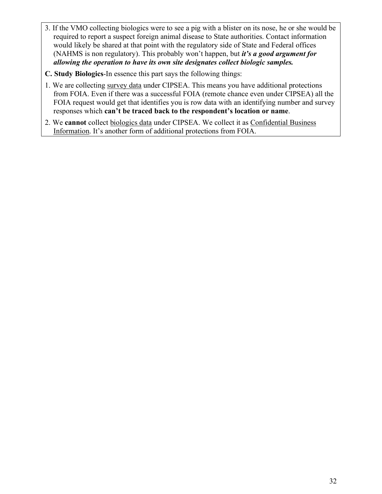- 3. If the VMO collecting biologics were to see a pig with a blister on its nose, he or she would be required to report a suspect foreign animal disease to State authorities. Contact information would likely be shared at that point with the regulatory side of State and Federal offices (NAHMS is non regulatory). This probably won't happen, but *it's a good argument for allowing the operation to have its own site designates collect biologic samples.*
- **C. Study Biologics**-In essence this part says the following things:
- 1. We are collecting survey data under CIPSEA. This means you have additional protections from FOIA. Even if there was a successful FOIA (remote chance even under CIPSEA) all the FOIA request would get that identifies you is row data with an identifying number and survey responses which **can't be traced back to the respondent's location or name**.
- 2. We **cannot** collect biologics data under CIPSEA. We collect it as Confidential Business Information. It's another form of additional protections from FOIA.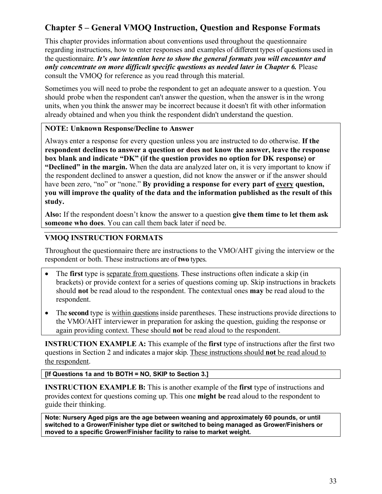# <span id="page-32-0"></span>**Chapter 5 – General VMOQ Instruction, Question and Response Formats**

This chapter provides information about conventions used throughout the questionnaire regarding instructions, how to enter responses and examples of different types of questions used in the questionnaire. *It's our intention here to show the general formats you will encounter and only concentrate on more difficult specific questions as needed later in Chapter 6.* Please consult the VMOQ for reference as you read through this material.

Sometimes you will need to probe the respondent to get an adequate answer to a question. You should probe when the respondent can't answer the question, when the answer is in the wrong units, when you think the answer may be incorrect because it doesn't fit with other information already obtained and when you think the respondent didn't understand the question.

#### **NOTE: Unknown Response/Decline to Answer**

Always enter a response for every question unless you are instructed to do otherwise. **If the respondent declines to answer a question or does not know the answer, leave the response box blank and indicate "DK" (if the question provides no option for DK response) or "Declined" in the margin.** When the data are analyzed later on, it is very important to know if the respondent declined to answer a question, did not know the answer or if the answer should have been zero, "no" or "none." **By providing a response for every part of every question, you will improve the quality of the data and the information published as the result of this study.**

**Also:** If the respondent doesn't know the answer to a question **give them time to let them ask someone who does**. You can call them back later if need be.

## <span id="page-32-1"></span>**VMOQ INSTRUCTION FORMATS**

Throughout the questionnaire there are instructions to the VMO/AHT giving the interview or the respondent or both. These instructions are of **two** types.

- The **first** type is separate from questions. These instructions often indicate a skip (in brackets) or provide context for a series of questions coming up. Skip instructions in brackets should **not** be read aloud to the respondent. The contextual ones **may** be read aloud to the respondent.
- The **second** type is within questions inside parentheses. These instructions provide directions to the VMO/AHT interviewer in preparation for asking the question, guiding the response or again providing context. These should **not** be read aloud to the respondent.

**INSTRUCTION EXAMPLE A:** This example of the **first** type of instructions after the first two questions in Section 2 and indicates a major skip. These instructions should **not** be read aloud to the respondent.

#### **[If Questions 1a and 1b BOTH = NO, SKIP to Section 3.]**

**INSTRUCTION EXAMPLE B:** This is another example of the **first** type of instructions and provides context for questions coming up. This one **might be** read aloud to the respondent to guide their thinking.

**Note: Nursery Aged pigs are the age between weaning and approximately 60 pounds, or until switched to a Grower/Finisher type diet or switched to being managed as Grower/Finishers or moved to a specific Grower/Finisher facility to raise to market weight.**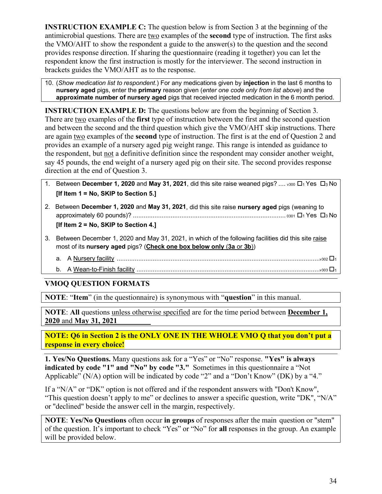**INSTRUCTION EXAMPLE C:** The question below is from Section 3 at the beginning of the antimicrobial questions. There are two examples of the **second** type of instruction. The first asks the VMO/AHT to show the respondent a guide to the answer(s) to the question and the second provides response direction. If sharing the questionnaire (reading it together) you can let the respondent know the first instruction is mostly for the interviewer. The second instruction in brackets guides the VMO/AHT as to the response.

10. (*Show medication list to respondent*.) For any medications given by **injection** in the last 6 months to **nursery aged** pigs, enter the **primary** reason given (*enter one code only from list above*) and the **approximate number of nursery aged** pigs that received injected medication in the 6 month period.

**INSTRUCTION EXAMPLE D:** The questions below are from the beginning of Section 3. There are two examples of the **first** type of instruction between the first and the second question and between the second and the third question which give the VMO/AHT skip instructions. There are again two examples of the **second** type of instruction. The first is at the end of Question 2 and provides an example of a nursery aged pig weight range. This range is intended as guidance to the respondent, but not a definitive definition since the respondent may consider another weight, say 45 pounds, the end weight of a nursery aged pig on their site. The second provides response direction at the end of Question 3.

- 1. Between **December 1, 2020** and **May 31, 2021**, did this site raise weaned pigs? ....  $\sqrt{300}$   $\Box$ <sub>1</sub> Yes  $\Box$ <sub>3</sub> No **[If Item 1 = No, SKIP to Section 5.]**
- 2. Between **December 1, 2020** and **May 31, 2021**, did this site raise **nursery aged** pigs (weaning to approximately 60 pounds)? ..................................................................................... <sup>0301</sup> 1 Yes 3 No **[If Item 2 = No, SKIP to Section 4.]**
- 3. Between December 1, 2020 and May 31, 2021, in which of the following facilities did this site raise most of its **nursery aged** pigs? (**Check one box below only** (**3a** or **3b**))
	- a. A Nursery facility .................................................................................................................v302 <sup>1</sup>
	- b. A Wean-to-Finish facility ......................................................................................................v303 <sup>1</sup>

## <span id="page-33-0"></span>**VMOQ QUESTION FORMATS**

**NOTE**: "**Item**" (in the questionnaire) is synonymous with "**question**" in this manual.

**NOTE**: **All** questions unless otherwise specified are for the time period between **December 1, 2020** and **May** 31, 2021

**NOTE: Q6 in Section 2 is the ONLY ONE IN THE WHOLE VMO Q that you don't put a response in every choice!**

**1. Yes/No Questions.** Many questions ask for a "Yes" or "No" response. **"Yes" is always indicated by code "1" and "No" by code "3."** Sometimes in this questionnaire a "Not Applicable" (N/A) option will be indicated by code "2" and a "Don't Know" (DK) by a "4."

If a "N/A" or "DK" option is not offered and if the respondent answers with "Don't Know", "This question doesn't apply to me" or declines to answer a specific question, write "DK", "N/A" or "declined" beside the answer cell in the margin, respectively.

**NOTE**: **Yes/No Questions** often occur **in groups** of responses after the main question or "stem" of the question. It's important to check "Yes" or "No" for **all** responses in the group. An example will be provided below.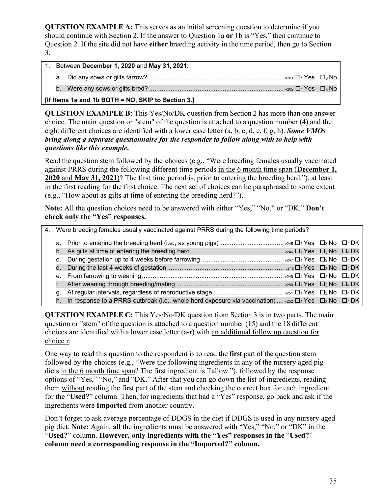**QUESTION EXAMPLE A:** This serves as an initial screening question to determine if you should continue with Section 2. If the answer to Question 1a **or** 1b is "Yes," then continue to Question 2. If the site did not have **either** breeding activity in the time period, then go to Section 3.

|         | 1. Between December 1, 2020 and May 31, 2021:                                                                                                                                                                                       |  |
|---------|-------------------------------------------------------------------------------------------------------------------------------------------------------------------------------------------------------------------------------------|--|
|         |                                                                                                                                                                                                                                     |  |
|         |                                                                                                                                                                                                                                     |  |
| --- - - | $\overline{a}$ , and the contract of the contract of the contract of the contract of the contract of the contract of the contract of the contract of the contract of the contract of the contract of the contract of the contract o |  |

**[If Items 1a and 1b BOTH = NO, SKIP to Section 3.]**

**QUESTION EXAMPLE B:** This Yes/No/DK question from Section 2 has more than one answer choice. The main question or "stem" of the question is attached to a question number (4) and the eight different choices are identified with a lower case letter (a, b, c, d, e, f, g, h). *Some VMOs bring along a separate questionnaire for the responder to follow along with to help with questions like this example***.**

Read the question stem followed by the choices (e.g., "Were breeding females usually vaccinated against PRRS during the following different time periods in the 6 month time span (**December 1, 2020** and **May 31, 2021**)? The first time period is, prior to entering the breeding herd."), at least in the first reading for the first choice. The next set of choices can be paraphrased to some extent (e.g., "How about as gilts at time of entering the breeding herd?").

**Note:** All the question choices need to be answered with either "Yes," "No," or "DK." **Don't check only the "Yes" responses.** 

|  | 4. Were breeding females usually vaccinated against PRRS during the following time periods?                                |  |
|--|----------------------------------------------------------------------------------------------------------------------------|--|
|  |                                                                                                                            |  |
|  |                                                                                                                            |  |
|  |                                                                                                                            |  |
|  |                                                                                                                            |  |
|  |                                                                                                                            |  |
|  |                                                                                                                            |  |
|  |                                                                                                                            |  |
|  | h. In response to a PRRS outbreak (i.e., whole herd exposure via vaccination) $v_{252} \Box_1$ Yes $\Box_3$ No $\Box_4$ DK |  |

**QUESTION EXAMPLE C:** This Yes/No/DK question from Section 3 is in two parts. The main question or "stem" of the question is attached to a question number (15) and the 18 different choices are identified with a lower case letter (a-r) with an additional follow up question for choice r.

One way to read this question to the respondent is to read the **first** part of the question stem followed by the choices (e.g., "Were the following ingredients in any of the nursery aged pig diets in the 6 month time span? The first ingredient is Tallow."), followed by the response options of "Yes," "No," and "DK." After that you can go down the list of ingredients, reading them without reading the first part of the stem and checking the correct box for each ingredient for the "**Used?**" column. Then, for ingredients that had a "Yes" response, go back and ask if the ingredients were **Imported** from another country.

Don't forget to ask average percentage of DDGS in the diet if DDGS is used in any nursery aged pig diet. **Note:** Again, **all** the ingredients must be answered with "Yes," "No," or "DK" in the "**Used?**" column. **However, only ingredients with the "Yes" responses in the** "**Used?**" **column need a corresponding response in the "Imported?" column.**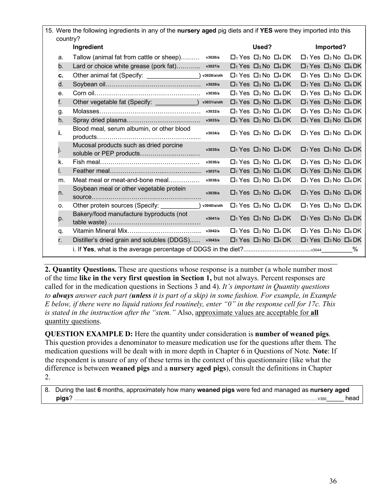| country? | 15. Were the following ingredients in any of the nursery aged pig diets and if YES were they imported into this |             |                                                                       |       |                                      |                                                                       |           |   |
|----------|-----------------------------------------------------------------------------------------------------------------|-------------|-----------------------------------------------------------------------|-------|--------------------------------------|-----------------------------------------------------------------------|-----------|---|
|          | Ingredient                                                                                                      |             |                                                                       | Used? |                                      |                                                                       | Imported? |   |
| a.       | Tallow (animal fat from cattle or sheep)                                                                        | v3026/a     | $\Box$ Yes $\Box$ No $\Box$ DK                                        |       |                                      | $\Box$ 1 Yes $\Box$ 3 No $\Box$ 4 DK                                  |           |   |
| b.       | Lard or choice white grease (pork fat)                                                                          | v3027/a     | $\Box_1$ Yes $\Box_3$ No $\Box_4$ DK                                  |       |                                      | $\Box_1$ Yes $\Box_3$ No $\Box_4$ DK                                  |           |   |
| c.       | Other animal fat (Specify:                                                                                      | v3028/a/oth | $\Box$ Yes $\Box$ No $\Box$ DK                                        |       |                                      | $\Box$ 1 Yes $\Box$ 3 No $\Box$ 4 DK                                  |           |   |
| d.       |                                                                                                                 | v3029/a     | $\Box_1$ Yes $\Box_3$ No $\Box_4$ DK                                  |       |                                      | $\Box_1$ Yes $\Box_3$ No $\Box_4$ DK                                  |           |   |
| е.       |                                                                                                                 | v3030/a     | $\Box_1$ Yes $\Box_3$ No $\Box_4$ DK                                  |       |                                      | $\Box$ 1 Yes $\Box$ 3 No $\Box$ 4 DK                                  |           |   |
| f.       | Other vegetable fat (Specify:                                                                                   | v3031/a/oth | $\Box$ <sub>1</sub> Yes $\Box$ <sub>3</sub> No $\Box$ <sub>4</sub> DK |       |                                      | $\Box$ <sub>1</sub> Yes $\Box$ <sub>3</sub> No $\Box$ <sub>4</sub> DK |           |   |
| g.       |                                                                                                                 | v3032/a     | $\Box_1$ Yes $\Box_3$ No $\Box_4$ DK                                  |       |                                      | $\Box_1$ Yes $\Box_3$ No $\Box_4$ DK                                  |           |   |
| h.       |                                                                                                                 | v3033/a     | $\Box$ <sub>1</sub> Yes $\Box$ <sub>3</sub> No $\Box$ <sub>4</sub> DK |       |                                      | $\Box$ <sub>1</sub> Yes $\Box$ <sub>3</sub> No $\Box$ <sub>4</sub> DK |           |   |
| i.       | Blood meal, serum albumin, or other blood                                                                       | v3034/a     | $\Box_1$ Yes $\Box_3$ No $\Box_4$ DK                                  |       |                                      | $\Box_1$ Yes $\Box_3$ No $\Box_4$ DK                                  |           |   |
|          | Mucosal products such as dried porcine<br>soluble or PEP products                                               | v3035/a     | $\Box_1$ Yes $\Box_3$ No $\Box_4$ DK                                  |       |                                      | $\Box$ 1 Yes $\Box$ 3 No $\Box$ 4 DK                                  |           |   |
| k.       |                                                                                                                 | v3036/a     | $\Box_1$ Yes $\Box_3$ No $\Box_4$ DK                                  |       |                                      | $\Box$ 1 Yes $\Box$ 3 No $\Box$ 4 DK                                  |           |   |
| I.       |                                                                                                                 | v3037/a     | $\Box_1$ Yes $\Box_3$ No $\Box_4$ DK                                  |       |                                      | $\Box_1$ Yes $\Box_3$ No $\Box_4$ DK                                  |           |   |
| m.       | Meat meal or meat-and-bone meal                                                                                 | v3038/a     | $\Box$ Yes $\Box$ No $\Box$ DK                                        |       |                                      | $\Box$ 1 Yes $\Box$ 3 No $\Box$ 4 DK                                  |           |   |
| n.       | Soybean meal or other vegetable protein                                                                         | v3039/a     | $\Box_1$ Yes $\Box_3$ No $\Box_4$ DK                                  |       |                                      | $\Box_1$ Yes $\Box_3$ No $\Box_4$ DK                                  |           |   |
| 0.       | Other protein sources (Specify:                                                                                 | v3040/a/oth | $\Box$ Yes $\Box$ No $\Box$ DK                                        |       |                                      | $\Box$ <sub>1</sub> Yes $\Box$ <sub>3</sub> No $\Box$ <sub>4</sub> DK |           |   |
| p.       | Bakery/food manufacture byproducts (not                                                                         | v3041/a     | $\Box_1$ Yes $\Box_3$ No $\Box_4$ DK                                  |       |                                      | $\Box$ 1 Yes $\Box$ 3 No $\Box$ 4 DK                                  |           |   |
| q.       |                                                                                                                 | v3042/a     |                                                                       |       | $\Box_1$ Yes $\Box_3$ No $\Box_4$ DK | $\Box_1$ Yes $\Box_3$ No $\Box_4$ DK                                  |           |   |
| r.       | Distiller's dried grain and solubles (DDGS)                                                                     | v3043/a     |                                                                       |       | $\Box_1$ Yes $\Box_3$ No $\Box_4$ DK | $\Box$ 1 Yes $\Box$ 3 No $\Box$ 4 DK                                  |           |   |
|          |                                                                                                                 |             |                                                                       |       |                                      |                                                                       |           | ℅ |

**2. Quantity Questions.** These are questions whose response is a number (a whole number most of the time **like in the very first question in Section 1,** but not always. Percent responses are called for in the medication questions in Sections 3 and 4). *It's important in Quantity questions to always answer each part (unless it is part of a skip) in some fashion. For example, in Example E below, if there were no liquid rations fed routinely, enter "0" in the response cell for 17c. This is stated in the instruction after the "stem."* Also, approximate values are acceptable for **all** quantity questions.

**QUESTION EXAMPLE D:** Here the quantity under consideration is **number of weaned pigs**. This question provides a denominator to measure medication use for the questions after them. The medication questions will be dealt with in more depth in Chapter 6 in Questions of Note. **Note**: If the respondent is unsure of any of these terms in the context of this questionnaire (like what the difference is between **weaned pigs** and a **nursery aged pigs**), consult the definitions in Chapter 2.

8. During the last **6** months, approximately how many **weaned pigs** were fed and managed as **nursery aged pigs**? ........................................................................................................................................................................................................................................V350\_\_\_\_\_ head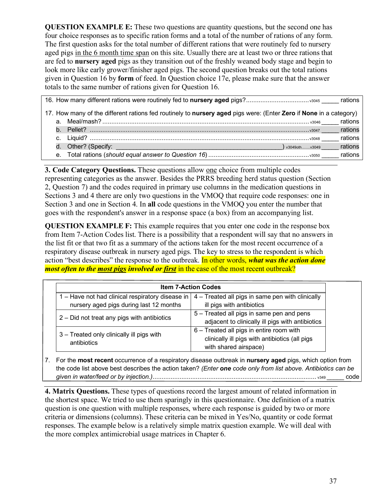**QUESTION EXAMPLE E:** These two questions are quantity questions, but the second one has four choice responses as to specific ration forms and a total of the number of rations of any form. The first question asks for the total number of different rations that were routinely fed to nursery aged pigs in the 6 month time span on this site. Usually there are at least two or three rations that are fed to **nursery aged** pigs as they transition out of the freshly weaned body stage and begin to look more like early grower/finisher aged pigs. The second question breaks out the total rations given in Question 16 by **form** of feed. In Question choice 17e, please make sure that the answer totals to the same number of rations given for Question 16.

|  | 17. How many of the different rations fed routinely to nursery aged pigs were: (Enter Zero if None in a category) |         |
|--|-------------------------------------------------------------------------------------------------------------------|---------|
|  |                                                                                                                   | rations |
|  |                                                                                                                   | rations |
|  |                                                                                                                   | rations |
|  | v3049othv3049                                                                                                     | rations |
|  |                                                                                                                   | rations |

**3. Code Category Questions.** These questions allow one choice from multiple codes representing categories as the answer. Besides the PRRS breeding herd status question (Section 2, Question 7) and the codes required in primary use columns in the medication questions in Sections 3 and 4 there are only two questions in the VMOQ that require code responses: one in Section 3 and one in Section 4. In **all** code questions in the VMOQ you enter the number that goes with the respondent's answer in a response space (a box) from an accompanying list.

**QUESTION EXAMPLE F:** This example requires that you enter one code in the response box from Item 7-Action Codes list. There is a possibility that a respondent will say that no answers in the list fit or that two fit as a summary of the actions taken for the most recent occurrence of a respiratory disease outbreak in nursery aged pigs. The key to stress to the respondent is which action "best describes" the response to the outbreak. In other words, *what was the action done most often to the most pigs involved or first* in the case of the most recent outbreak?

|                                                                                             | <b>Item 7-Action Codes</b>                                                                                          |
|---------------------------------------------------------------------------------------------|---------------------------------------------------------------------------------------------------------------------|
| 1 – Have not had clinical respiratory disease in<br>nursery aged pigs during last 12 months | 4 - Treated all pigs in same pen with clinically<br>ill pigs with antibiotics                                       |
| 2 - Did not treat any pigs with antibiotics                                                 | 5 – Treated all pigs in same pen and pens<br>adjacent to clinically ill pigs with antibiotics                       |
| 3 - Treated only clinically ill pigs with<br>antibiotics                                    | 6 - Treated all pigs in entire room with<br>clinically ill pigs with antibiotics (all pigs<br>with shared airspace) |

7. For the **most recent** occurrence of a respiratory disease outbreak in **nursery aged** pigs, which option from the code list above best describes the action taken? *(Enter one code only from list above. Antibiotics can be given in water/feed or by injection.)*........................................................................................... v349 \_\_\_\_\_ code

**4. Matrix Questions.** These types of questions record the largest amount of related information in the shortest space. We tried to use them sparingly in this questionnaire. One definition of a matrix question is one question with multiple responses, where each response is guided by two or more criteria or dimensions (columns). These criteria can be mixed in Yes/No, quantity or code format responses. The example below is a relatively simple matrix question example. We will deal with the more complex antimicrobial usage matrices in Chapter 6.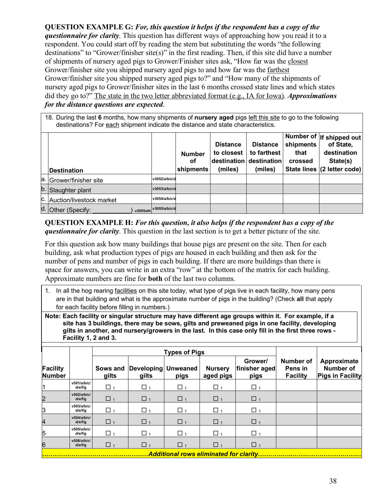**QUESTION EXAMPLE G:** *For, this question it helps if the respondent has a copy of the questionnaire for clarity*. This question has different ways of approaching how you read it to a respondent. You could start off by reading the stem but substituting the words "the following destinations" to "Grower/finisher site(s)" in the first reading. Then, if this site did have a number of shipments of nursery aged pigs to Grower/Finisher sites ask, "How far was the closest Grower/finisher site you shipped nursery aged pigs to and how far was the farthest Grower/finisher site you shipped nursery aged pigs to?" and "How many of the shipments of nursery aged pigs to Grower/finisher sites in the last 6 months crossed state lines and which states did they go to?" The state in the two letter abbreviated format (e.g., IA for Iowa). *Approximations for the distance questions are expected*.

18. During the last **6** months, how many shipments of **nursery aged** pigs left this site to go to the following destinations? For each shipment indicate the distance and state characteristics.

| Destination                 |                        | <b>Number</b><br>οf<br>shipments | <b>Distance</b><br>to closest<br>(miles) | <b>Distance</b><br>to farthest<br>destination destination<br>(miles) | shipments<br>that<br>crossed | Number of  If shipped out <br>of State,<br>destination<br>State(s)<br>State lines (2 letter code) |
|-----------------------------|------------------------|----------------------------------|------------------------------------------|----------------------------------------------------------------------|------------------------------|---------------------------------------------------------------------------------------------------|
| a. Grower/finisher site     | v3052/a/b/c/d          |                                  |                                          |                                                                      |                              |                                                                                                   |
| b. Slaughter plant          | v3053/a/b/c/d          |                                  |                                          |                                                                      |                              |                                                                                                   |
| C. Auction/livestock market | v3054/a/b/c/d          |                                  |                                          |                                                                      |                              |                                                                                                   |
| d. Other (Specify:          | v3055oth v3055/a/b/c/d |                                  |                                          |                                                                      |                              |                                                                                                   |

**QUESTION EXAMPLE H:** *For this question, it also helps if the respondent has a copy of the questionnaire for clarity*. This question in the last section is to get a better picture of the site.

For this question ask how many buildings that house pigs are present on the site. Then for each building, ask what production types of pigs are housed in each building and then ask for the number of pens and number of pigs in each building. If there are more buildings than there is space for answers, you can write in an extra "row" at the bottom of the matrix for each building. Approximate numbers are fine for **both** of the last two columns.

1. In all the hog rearing facilities on this site today, what type of pigs live in each facility, how many pens are in that building and what is the approximate number of pigs in the building? (Check **all** that apply for each facility before filling in numbers.)

**Note: Each facility or singular structure may have different age groups within it. For example, if a site has 3 buildings, there may be sows, gilts and preweaned pigs in one facility, developing gilts in another, and nursery/growers in the last. In this case only fill in the first three rows - Facility 1, 2 and 3.**

|                                  |                        |                     |                                       | <b>Types of Pigs</b> |                             |                                  |                                         |                                                            |
|----------------------------------|------------------------|---------------------|---------------------------------------|----------------------|-----------------------------|----------------------------------|-----------------------------------------|------------------------------------------------------------|
| <b>Facility</b><br><b>Number</b> |                        | gilts               | Sows and Developing Unweaned<br>gilts | pigs                 | <b>Nursery</b><br>aged pigs | Grower/<br>finisher aged<br>pigs | Number of<br>Pens in<br><b>Facility</b> | Approximate<br><b>Number of</b><br><b>Pigs in Facility</b> |
|                                  | v501/a/b/c/<br>d/e/f/q | $\Box$ 1            | $\Box$ 1                              | $\Box$ 1             | $\Box$ 1                    | $\Box$ 1                         |                                         |                                                            |
| 2                                | v502/a/b/c/<br>d/e/f/g | $\Box$ 1            | $\Box$ 1                              | $\Box$ 1             | $\Box$ 1                    | $\Box$ 1                         |                                         |                                                            |
| З                                | v503/a/b/c/<br>d/e/f/q | $\Box$ 1            | $\Box$ 1                              | $\Box$ 1             | $\Box$ 1                    | $\Box$ 1                         |                                         |                                                            |
| 4                                | v504/a/b/c/<br>d/e/f/g | $\Box$ <sub>1</sub> | $\Box$ <sub>1</sub>                   | $\Box$ <sub>1</sub>  | $\Box$ <sub>1</sub>         | $\Box$ <sub>1</sub>              |                                         |                                                            |
| 5                                | v505/a/b/c/<br>d/e/f/q | $\Box$ 1            | $\Box$ 1                              | $\Box$ 1             | $\Box$ <sub>1</sub>         | $\Box$ 1                         |                                         |                                                            |
| 6                                | v506/a/b/c/<br>d/e/f/g | $\Box$ 1            | $\Box$ 1                              | $\Box$ 1             | $\Box$ 1                    | $\Box$ 1                         |                                         |                                                            |

**……………………………………………***Additional rows eliminated for clarity***……………..……………………………**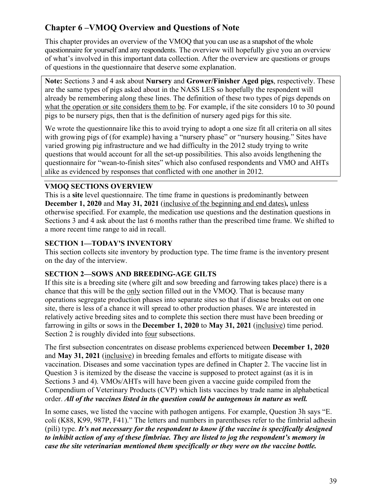# <span id="page-38-0"></span>**Chapter 6 –VMOQ Overview and Questions of Note**

This chapter provides an overview of the VMOQ that you can use as a snapshot of the whole questionnaire for yourself and any respondents. The overview will hopefully give you an overview of what's involved in this important data collection. After the overview are questions or groups of questions in the questionnaire that deserve some explanation.

**Note:** Sections 3 and 4 ask about **Nursery** and **Grower/Finisher Aged pigs**, respectively. These are the same types of pigs asked about in the NASS LES so hopefully the respondent will already be remembering along these lines. The definition of these two types of pigs depends on what the operation or site considers them to be. For example, if the site considers 10 to 30 pound pigs to be nursery pigs, then that is the definition of nursery aged pigs for this site.

We wrote the questionnaire like this to avoid trying to adopt a one size fit all criteria on all sites with growing pigs of (for example) having a "nursery phase" or "nursery housing." Sites have varied growing pig infrastructure and we had difficulty in the 2012 study trying to write questions that would account for all the set-up possibilities. This also avoids lengthening the questionnaire for "wean-to-finish sites" which also confused respondents and VMO and AHTs alike as evidenced by responses that conflicted with one another in 2012.

## <span id="page-38-1"></span>**VMOQ SECTIONS OVERVIEW**

This is a **site** level questionnaire. The time frame in questions is predominantly between **December 1, 2020** and **May 31, 2021** (inclusive of the beginning and end dates)**,** unless otherwise specified. For example, the medication use questions and the destination questions in Sections 3 and 4 ask about the last 6 months rather than the prescribed time frame. We shifted to a more recent time range to aid in recall.

## <span id="page-38-2"></span>**SECTION 1—TODAY'S INVENTORY**

This section collects site inventory by production type. The time frame is the inventory present on the day of the interview.

#### <span id="page-38-3"></span>**SECTION 2—SOWS AND BREEDING-AGE GILTS**

If this site is a breeding site (where gilt and sow breeding and farrowing takes place) there is a chance that this will be the only section filled out in the VMOQ. That is because many operations segregate production phases into separate sites so that if disease breaks out on one site, there is less of a chance it will spread to other production phases. We are interested in relatively active breeding sites and to complete this section there must have been breeding or farrowing in gilts or sows in the **December 1, 2020** to **May 31, 2021** (inclusive) time period. Section 2 is roughly divided into four subsections.

The first subsection concentrates on disease problems experienced between **December 1, 2020**  and **May 31, 2021** (inclusive) in breeding females and efforts to mitigate disease with vaccination. Diseases and some vaccination types are defined in Chapter 2. The vaccine list in Question 3 is itemized by the disease the vaccine is supposed to protect against (as it is in Sections 3 and 4). VMOs/AHTs will have been given a vaccine guide compiled from the Compendium of Veterinary Products (CVP) which lists vaccines by trade name in alphabetical order. *All of the vaccines listed in the question could be autogenous in nature as well.* 

In some cases, we listed the vaccine with pathogen antigens. For example, Question 3h says "E. coli (K88, K99, 987P, F41)." The letters and numbers in parentheses refer to the fimbrial adhesin (pili) type. *It's not necessary for the respondent to know if the vaccine is specifically designed to inhibit action of any of these fimbriae. They are listed to jog the respondent's memory in case the site veterinarian mentioned them specifically or they were on the vaccine bottle.*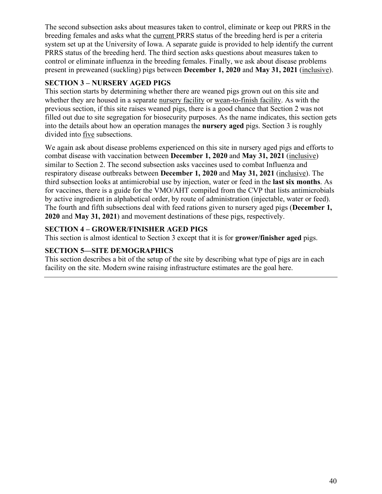The second subsection asks about measures taken to control, eliminate or keep out PRRS in the breeding females and asks what the current PRRS status of the breeding herd is per a criteria system set up at the University of Iowa. A separate guide is provided to help identify the current PRRS status of the breeding herd. The third section asks questions about measures taken to control or eliminate influenza in the breeding females. Finally, we ask about disease problems present in preweaned (suckling) pigs between **December 1, 2020** and **May 31, 2021** (inclusive).

## <span id="page-39-0"></span>**SECTION 3 – NURSERY AGED PIGS**

This section starts by determining whether there are weaned pigs grown out on this site and whether they are housed in a separate nursery facility or wean-to-finish facility. As with the previous section, if this site raises weaned pigs, there is a good chance that Section 2 was not filled out due to site segregation for biosecurity purposes. As the name indicates, this section gets into the details about how an operation manages the **nursery aged** pigs. Section 3 is roughly divided into five subsections.

We again ask about disease problems experienced on this site in nursery aged pigs and efforts to combat disease with vaccination between **December 1, 2020** and **May 31, 2021** (inclusive) similar to Section 2. The second subsection asks vaccines used to combat Influenza and respiratory disease outbreaks between **December 1, 2020** and **May 31, 2021** (inclusive). The third subsection looks at antimicrobial use by injection, water or feed in the **last six months**. As for vaccines, there is a guide for the VMO/AHT compiled from the CVP that lists antimicrobials by active ingredient in alphabetical order, by route of administration (injectable, water or feed). The fourth and fifth subsections deal with feed rations given to nursery aged pigs (**December 1, 2020** and **May 31, 2021**) and movement destinations of these pigs, respectively.

## <span id="page-39-1"></span>**SECTION 4 – GROWER/FINISHER AGED PIGS**

This section is almost identical to Section 3 except that it is for **grower/finisher aged** pigs.

## <span id="page-39-2"></span>**SECTION 5—SITE DEMOGRAPHICS**

This section describes a bit of the setup of the site by describing what type of pigs are in each facility on the site. Modern swine raising infrastructure estimates are the goal here.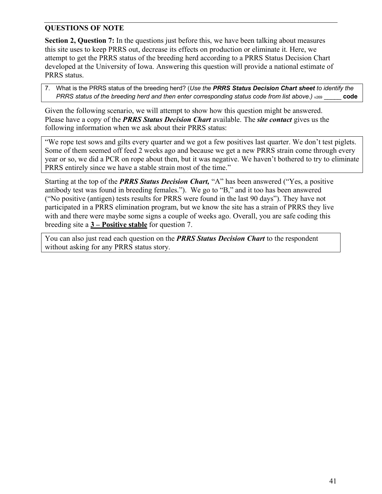## <span id="page-40-0"></span>**QUESTIONS OF NOTE**

**Section 2, Question 7:** In the questions just before this, we have been talking about measures this site uses to keep PRRS out, decrease its effects on production or eliminate it. Here, we attempt to get the PRRS status of the breeding herd according to a PRRS Status Decision Chart developed at the University of Iowa. Answering this question will provide a national estimate of PRRS status.

7. What is the PRRS status of the breeding herd? (*Use the PRRS Status Decision Chart sheet to identify the PRRS status of the breeding herd and then enter corresponding status code from list above.)* v<sub>269</sub> code

Given the following scenario, we will attempt to show how this question might be answered. Please have a copy of the *PRRS Status Decision Chart* available. The *site contact* gives us the following information when we ask about their PRRS status:

"We rope test sows and gilts every quarter and we got a few positives last quarter. We don't test piglets. Some of them seemed off feed 2 weeks ago and because we get a new PRRS strain come through every year or so, we did a PCR on rope about then, but it was negative. We haven't bothered to try to eliminate PRRS entirely since we have a stable strain most of the time."

Starting at the top of the *PRRS Status Decision Chart,* "A" has been answered ("Yes, a positive antibody test was found in breeding females."). We go to "B," and it too has been answered ("No positive (antigen) tests results for PRRS were found in the last 90 days"). They have not participated in a PRRS elimination program, but we know the site has a strain of PRRS they live with and there were maybe some signs a couple of weeks ago. Overall, you are safe coding this breeding site a **3 – Positive stable** for question 7.

You can also just read each question on the *PRRS Status Decision Chart* to the respondent without asking for any PRRS status story.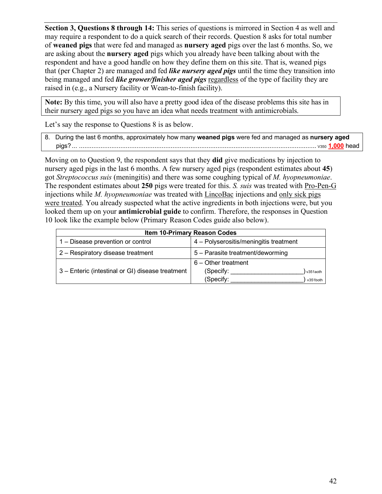**Section 3, Questions 8 through 14:** This series of questions is mirrored in Section 4 as well and may require a respondent to do a quick search of their records. Question 8 asks for total number of **weaned pigs** that were fed and managed as **nursery aged** pigs over the last 6 months. So, we are asking about the **nursery aged** pigs which you already have been talking about with the respondent and have a good handle on how they define them on this site. That is, weaned pigs that (per Chapter 2) are managed and fed *like nursery aged pigs* until the time they transition into being managed and fed *like grower/finisher aged pigs* regardless of the type of facility they are raised in (e.g., a Nursery facility or Wean-to-finish facility).

**Note:** By this time, you will also have a pretty good idea of the disease problems this site has in their nursery aged pigs so you have an idea what needs treatment with antimicrobials.

Let's say the response to Questions 8 is as below.

| 8. During the last 6 months, approximately how many weaned pigs were fed and managed as nursery aged |
|------------------------------------------------------------------------------------------------------|
|                                                                                                      |

Moving on to Question 9, the respondent says that they **did** give medications by injection to nursery aged pigs in the last 6 months. A few nursery aged pigs (respondent estimates about **45**) got *Streptococcus suis* (meningitis) and there was some coughing typical of *M. hyopneumoniae*. The respondent estimates about **250** pigs were treated for this. *S. suis* was treated with Pro-Pen-G injections while *M. hyopneumoniae* was treated with LincoBac injections and only sick pigs were treated. You already suspected what the active ingredients in both injections were, but you looked them up on your **antimicrobial guide** to confirm. Therefore, the responses in Question 10 look like the example below (Primary Reason Codes guide also below).

|                                                  | <b>Item 10-Primary Reason Codes</b>    |
|--------------------------------------------------|----------------------------------------|
| 1 – Disease prevention or control                | 4 - Polyserositis/meningitis treatment |
| 2 - Respiratory disease treatment                | 5 - Parasite treatment/deworming       |
|                                                  | 6 - Other treatment                    |
| 3 – Enteric (intestinal or GI) disease treatment | (Specify:<br>v351aoth                  |
|                                                  | (Specify:<br>v351both                  |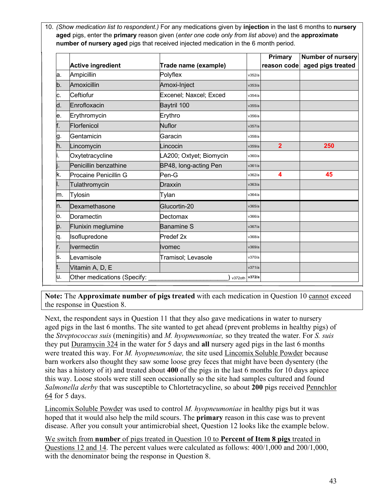10. *(Show medication list to respondent.)* For any medications given by **injection** in the last 6 months to **nursery aged** pigs, enter the **primary** reason given (*enter one code only from list above*) and the **approximate number of nursery aged** pigs that received injected medication in the 6 month period.

|    |                             |                         |        | <b>Primary</b> | <b>Number of nursery</b>      |
|----|-----------------------------|-------------------------|--------|----------------|-------------------------------|
|    | <b>Active ingredient</b>    | Trade name (example)    |        |                | reason code aged pigs treated |
| a. | Ampicillin                  | Polyflex                | v352/a |                |                               |
| b. | Amoxicillin                 | Amoxi-Inject            | v353/a |                |                               |
| c. | Ceftiofur                   | Excenel; Naxcel; Exced  | v354/a |                |                               |
| d. | Enrofloxacin                | Baytril 100             | v355/a |                |                               |
| e. | Erythromycin                | Erythro                 | v356/a |                |                               |
| f. | Florfenicol                 | <b>Nuflor</b>           | v357/a |                |                               |
| g. | Gentamicin                  | Garacin                 | v358/a |                |                               |
| h. | Lincomycin                  | Lincocin                | v359/a | $\overline{2}$ | 250                           |
|    | Oxytetracycline             | LA200; Oxtyet; Biomycin | v360/a |                |                               |
|    | Penicillin benzathine       | BP48, long-acting Pen   | v361/a |                |                               |
| k. | Procaine Penicillin G       | $Pen-G$                 | v362/a | 4              | 45                            |
|    | Tulathromycin               | Draxxin                 | v363/a |                |                               |
| m. | Tylosin                     | Tylan                   | v364/a |                |                               |
| n. | Dexamethasone               | Glucortin-20            | v365/a |                |                               |
| О. | Doramectin                  | Dectomax                | v366/a |                |                               |
| p. | Flunixin meglumine          | <b>Banamine S</b>       | v367/a |                |                               |
| q. | Isoflupredone               | Predef <sub>2x</sub>    | v368/a |                |                               |
| r. | Ivermectin                  | Ilvomec                 | v369/a |                |                               |
| s. | Levamisole                  | Tramisol; Levasole      | v370/a |                |                               |
|    | Vitamin A, D, E             |                         | v371/a |                |                               |
| u. | Other medications (Specify: | v372oth                 | v372/a |                |                               |

**Note:** The **Approximate number of pigs treated** with each medication in Question 10 cannot exceed the response in Question 8.

Next, the respondent says in Question 11 that they also gave medications in water to nursery aged pigs in the last 6 months. The site wanted to get ahead (prevent problems in healthy pigs) of the *Streptococcus suis* (meningitis) and *M. hyopneumoniae,* so they treated the water. For *S. suis* they put Duramycin 324 in the water for 5 days and **all** nursery aged pigs in the last 6 months were treated this way. For *M. hyopneumoniae,* the site used Lincomix Soluble Powder because barn workers also thought they saw some loose grey feces that might have been dysentery (the site has a history of it) and treated about **400** of the pigs in the last 6 months for 10 days apiece this way. Loose stools were still seen occasionally so the site had samples cultured and found *Salmonella derby* that was susceptible to Chlortetracycline, so about **200** pigs received Pennchlor 64 for 5 days.

Lincomix Soluble Powder was used to control *M. hyopneumoniae* in healthy pigs but it was hoped that it would also help the mild scours. The **primary** reason in this case was to prevent disease. After you consult your antimicrobial sheet, Question 12 looks like the example below.

We switch from **number** of pigs treated in Question 10 to **Percent of Item 8 pigs** treated in Questions 12 and 14. The percent values were calculated as follows: 400/1,000 and 200/1,000, with the denominator being the response in Question 8.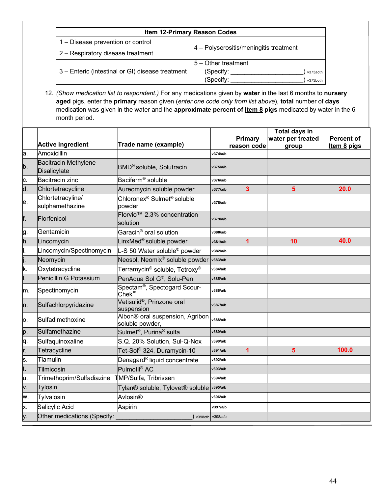| <b>Item 12-Primary Reason Codes</b>              |                                        |  |
|--------------------------------------------------|----------------------------------------|--|
| 1 – Disease prevention or control                |                                        |  |
| 2 - Respiratory disease treatment                | 4 – Polyserositis/meningitis treatment |  |
|                                                  | 5 - Other treatment                    |  |
| 3 – Enteric (intestinal or GI) disease treatment | (Specify:<br>v373aoth                  |  |
|                                                  | (Specify:<br>v373both                  |  |

12. *(Show medication list to respondent.)* For any medications given by **water** in the last 6 months to **nursery aged** pigs, enter the **primary** reason given (*enter one code only from list above*), **total** number of **days** medication was given in the water and the **approximate percent of Item 8 pigs** medicated by water in the 6 month period.

|    | <b>Active ingredient</b>                    | Trade name (example)                                                          |                  | <b>Primary</b> | <b>Total days in</b><br>water per treated | <b>Percent of</b> |
|----|---------------------------------------------|-------------------------------------------------------------------------------|------------------|----------------|-------------------------------------------|-------------------|
| a. | Amoxicillin                                 |                                                                               | v374/a/b         | reason code    | group                                     | Item 8 pigs       |
| b. | <b>Bacitracin Methylene</b><br>Disalicylate | BMD <sup>®</sup> soluble, Solutracin                                          | v375/a/b         |                |                                           |                   |
| C. | Bacitracin zinc                             | Baciferm <sup>®</sup> soluble                                                 | v376/a/b         |                |                                           |                   |
| d. | Chlortetracycline                           | Aureomycin soluble powder                                                     | v377/a/b         | $\overline{3}$ | 5                                         | 20.0              |
| е. | Chlortetracyline/<br>sulphamethazine        | Chloronex <sup>®</sup> Sulmet <sup>®</sup> soluble<br>powder                  | v378/a/b         |                |                                           |                   |
| f. | Florfenicol                                 | Florvio <sup>™</sup> 2.3% concentration<br>solution                           | v379/a/b         |                |                                           |                   |
| g. | Gentamicin                                  | Garacin® oral solution                                                        | v380/a/b         |                |                                           |                   |
| h. | Lincomycin                                  | LinxMed® soluble powder                                                       | v381/a/b         | $\overline{1}$ | 10                                        | 40.0              |
|    | Lincomycin/Spectinomycin                    | L-S 50 Water soluble <sup>®</sup> powder                                      | v382/a/b         |                |                                           |                   |
|    | Neomycin                                    | Neosol, Neomix <sup>®</sup> soluble powder                                    | v383/a/b         |                |                                           |                   |
| k. | Oxytetracycline                             | Terramycin $^{\circledR}$ soluble, Tetroxy $^{\circledR}$                     | v384/a/b         |                |                                           |                   |
|    | Penicillin G Potassium                      | PenAqua Sol G®, Solu-Pen                                                      | v385/a/b         |                |                                           |                   |
| m. | Spectinomycin                               | Spectam <sup>®</sup> , Spectogard Scour-<br>Chek $^{\scriptscriptstyle \top}$ | v386/a/b         |                |                                           |                   |
| n. | Sulfachlorpyridazine                        | Vetisulid <sup>®</sup> , Prinzone oral<br>suspension                          | v387/a/b         |                |                                           |                   |
| о. | Sulfadimethoxine                            | Albon® oral suspension, Agribon<br>soluble powder,                            | v388/a/b         |                |                                           |                   |
| p. | Sulfamethazine                              | Sulmet <sup>®</sup> , Purina <sup>®</sup> sulfa                               | v389/a/b         |                |                                           |                   |
| q. | Sulfaquinoxaline                            | S.Q. 20% Solution, Sul-Q-Nox                                                  | v390/a/b         |                |                                           |                   |
| r. | Tetracycline                                | Tet-Sol® 324, Duramycin-10                                                    | v391/a/b         | $\overline{1}$ | 5                                         | 100.0             |
| s. | Tiamulin                                    | Denagard® liquid concentrate                                                  | v392/a/b         |                |                                           |                   |
| t. | Tilmicosin                                  | Pulmotil <sup>®</sup> AC                                                      | v393/a/b         |                |                                           |                   |
| u. | Trimethoprim/Sulfadiazine                   | TMP/Sulfa, Tribrissen                                                         | v394/a/b         |                |                                           |                   |
| v. | <b>Tylosin</b>                              | Tylan® soluble, Tylovet® soluble                                              | v395/a/b         |                |                                           |                   |
| w. | Tylvalosin                                  | Avlosin <sup>®</sup>                                                          | v396/a/b         |                |                                           |                   |
| х. | Salicylic Acid                              | Aspirin                                                                       | v397/a/b         |                |                                           |                   |
| y. | Other medications (Specify:                 |                                                                               | v398oth v398/a/b |                |                                           |                   |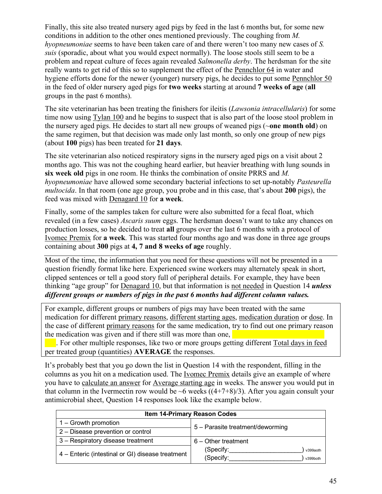Finally, this site also treated nursery aged pigs by feed in the last 6 months but, for some new conditions in addition to the other ones mentioned previously. The coughing from *M. hyopneumoniae* seems to have been taken care of and there weren't too many new cases of *S. suis* (sporadic, about what you would expect normally). The loose stools still seem to be a problem and repeat culture of feces again revealed *Salmonella derby*. The herdsman for the site really wants to get rid of this so to supplement the effect of the Pennchlor 64 in water and hygiene efforts done for the newer (younger) nursery pigs, he decides to put some Pennchlor 50 in the feed of older nursery aged pigs for **two weeks** starting at around **7 weeks of age** (**all** groups in the past 6 months).

The site veterinarian has been treating the finishers for ileitis (*Lawsonia intracellularis*) for some time now using Tylan 100 and he begins to suspect that is also part of the loose stool problem in the nursery aged pigs. He decides to start all new groups of weaned pigs (~**one month old**) on the same regimen, but that decision was made only last month, so only one group of new pigs (about **100** pigs) has been treated for **21 days**.

The site veterinarian also noticed respiratory signs in the nursery aged pigs on a visit about 2 months ago. This was not the coughing heard earlier, but heavier breathing with lung sounds in **six week old** pigs in one room. He thinks the combination of onsite PRRS and *M. hyopneumoniae* have allowed some secondary bacterial infections to set up-notably *Pasteurella multocida*. In that room (one age group, you probe and in this case, that's about **200** pigs), the feed was mixed with Denagard 10 for **a week**.

Finally, some of the samples taken for culture were also submitted for a fecal float, which revealed (in a few cases) *Ascaris suum* eggs. The herdsman doesn't want to take any chances on production losses, so he decided to treat **all** groups over the last 6 months with a protocol of Ivomec Premix for **a week**. This was started four months ago and was done in three age groups containing about **300** pigs at **4, 7 and 8 weeks of age** roughly.

Most of the time, the information that you need for these questions will not be presented in a question friendly format like here. Experienced swine workers may alternately speak in short, clipped sentences or tell a good story full of peripheral details. For example, they have been thinking "age group" for Denagard 10, but that information is not needed in Question 14 *unless different groups or numbers of pigs in the past 6 months had different column values.*

For example, different groups or numbers of pigs may have been treated with the same medication for different primary reasons, different starting ages, medication duration or dose. In the case of different primary reasons for the same medication, try to find out one primary reason the medication was given and if there still was more than one,

 $\bullet$ . For other multiple responses, like two or more groups getting different Total days in feed per treated group (quantities) **AVERAGE** the responses.

It's probably best that you go down the list in Question 14 with the respondent, filling in the columns as you hit on a medication used. The Ivomec Premix details give an example of where you have to calculate an answer for Average starting age in weeks. The answer you would put in that column in the Ivermectin row would be  $\sim$ 6 weeks ((4+7+8)/3). After you again consult your antimicrobial sheet, Question 14 responses look like the example below.

| <b>Item 14-Primary Reason Codes</b>              |                                                |  |  |  |  |  |
|--------------------------------------------------|------------------------------------------------|--|--|--|--|--|
| 1 – Growth promotion                             | 5 - Parasite treatment/deworming               |  |  |  |  |  |
| 2 - Disease prevention or control                |                                                |  |  |  |  |  |
| 3 - Respiratory disease treatment                | 6 - Other treatment                            |  |  |  |  |  |
| 4 – Enteric (intestinal or GI) disease treatment | (Specify:<br>v399aoth<br>(Specify:<br>v399both |  |  |  |  |  |